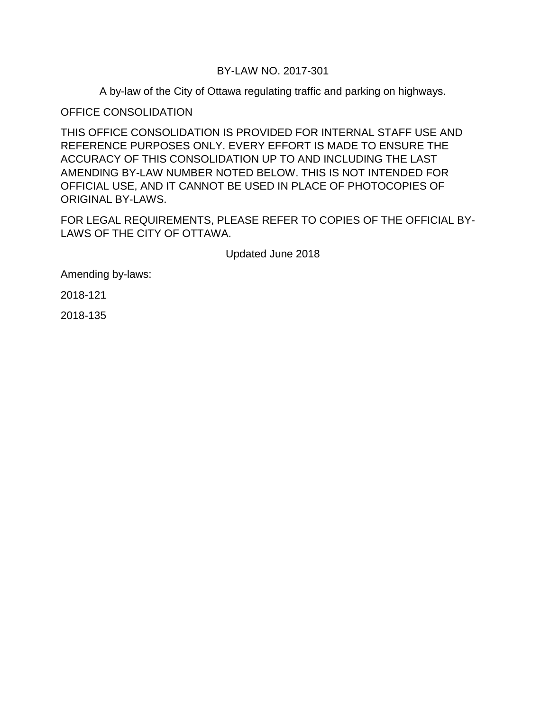## BY-LAW NO. 2017-301

A by-law of the City of Ottawa regulating traffic and parking on highways.

OFFICE CONSOLIDATION

THIS OFFICE CONSOLIDATION IS PROVIDED FOR INTERNAL STAFF USE AND REFERENCE PURPOSES ONLY. EVERY EFFORT IS MADE TO ENSURE THE ACCURACY OF THIS CONSOLIDATION UP TO AND INCLUDING THE LAST AMENDING BY-LAW NUMBER NOTED BELOW. THIS IS NOT INTENDED FOR OFFICIAL USE, AND IT CANNOT BE USED IN PLACE OF PHOTOCOPIES OF ORIGINAL BY-LAWS.

FOR LEGAL REQUIREMENTS, PLEASE REFER TO COPIES OF THE OFFICIAL BY-LAWS OF THE CITY OF OTTAWA.

Updated June 2018

Amending by-laws:

2018-121

2018-135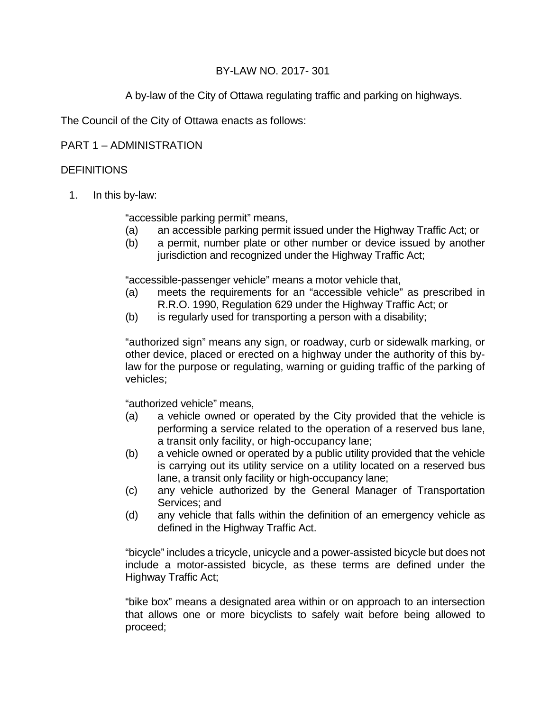# BY-LAW NO. 2017- 301

A by-law of the City of Ottawa regulating traffic and parking on highways.

The Council of the City of Ottawa enacts as follows:

# PART 1 – ADMINISTRATION

# **DEFINITIONS**

1. In this by-law:

"accessible parking permit" means,

- (a) an accessible parking permit issued under the Highway Traffic Act; or
- (b) a permit, number plate or other number or device issued by another jurisdiction and recognized under the Highway Traffic Act;

"accessible-passenger vehicle" means a motor vehicle that,

- (a) meets the requirements for an "accessible vehicle" as prescribed in R.R.O. 1990, Regulation 629 under the Highway Traffic Act; or
- (b) is regularly used for transporting a person with a disability;

"authorized sign" means any sign, or roadway, curb or sidewalk marking, or other device, placed or erected on a highway under the authority of this bylaw for the purpose or regulating, warning or guiding traffic of the parking of vehicles;

"authorized vehicle" means,

- (a) a vehicle owned or operated by the City provided that the vehicle is performing a service related to the operation of a reserved bus lane, a transit only facility, or high-occupancy lane;
- (b) a vehicle owned or operated by a public utility provided that the vehicle is carrying out its utility service on a utility located on a reserved bus lane, a transit only facility or high-occupancy lane;
- (c) any vehicle authorized by the General Manager of Transportation Services; and
- (d) any vehicle that falls within the definition of an emergency vehicle as defined in the Highway Traffic Act.

"bicycle" includes a tricycle, unicycle and a power-assisted bicycle but does not include a motor-assisted bicycle, as these terms are defined under the Highway Traffic Act;

"bike box" means a designated area within or on approach to an intersection that allows one or more bicyclists to safely wait before being allowed to proceed;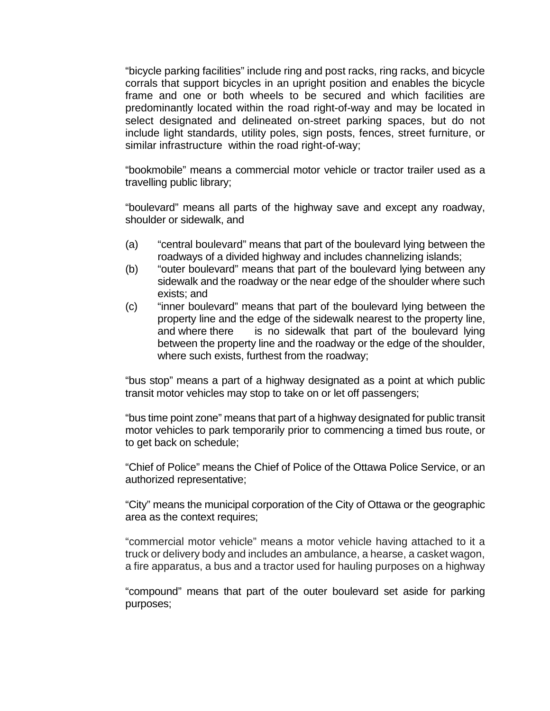"bicycle parking facilities" include ring and post racks, ring racks, and bicycle corrals that support bicycles in an upright position and enables the bicycle frame and one or both wheels to be secured and which facilities are predominantly located within the road right-of-way and may be located in select designated and delineated on-street parking spaces, but do not include light standards, utility poles, sign posts, fences, street furniture, or similar infrastructure within the road right-of-way;

"bookmobile" means a commercial motor vehicle or tractor trailer used as a travelling public library;

"boulevard" means all parts of the highway save and except any roadway, shoulder or sidewalk, and

- (a) "central boulevard" means that part of the boulevard lying between the roadways of a divided highway and includes channelizing islands;
- (b) "outer boulevard" means that part of the boulevard lying between any sidewalk and the roadway or the near edge of the shoulder where such exists; and
- (c) "inner boulevard" means that part of the boulevard lying between the property line and the edge of the sidewalk nearest to the property line, and where there is no sidewalk that part of the boulevard lying between the property line and the roadway or the edge of the shoulder, where such exists, furthest from the roadway;

"bus stop" means a part of a highway designated as a point at which public transit motor vehicles may stop to take on or let off passengers;

"bus time point zone" means that part of a highway designated for public transit motor vehicles to park temporarily prior to commencing a timed bus route, or to get back on schedule;

"Chief of Police" means the Chief of Police of the Ottawa Police Service, or an authorized representative;

"City" means the municipal corporation of the City of Ottawa or the geographic area as the context requires;

"commercial motor vehicle" means a motor vehicle having attached to it a truck or delivery body and includes an ambulance, a hearse, a casket wagon, a fire apparatus, a bus and a tractor used for hauling purposes on a highway

"compound" means that part of the outer boulevard set aside for parking purposes;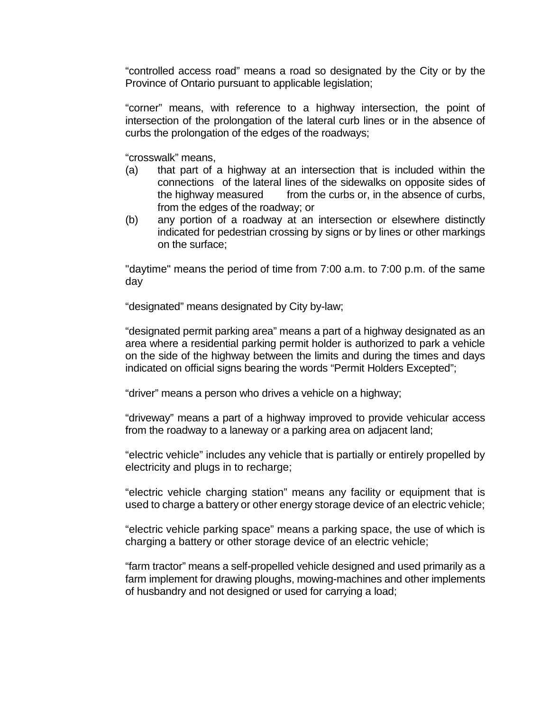"controlled access road" means a road so designated by the City or by the Province of Ontario pursuant to applicable legislation;

"corner" means, with reference to a highway intersection, the point of intersection of the prolongation of the lateral curb lines or in the absence of curbs the prolongation of the edges of the roadways;

"crosswalk" means,

- (a) that part of a highway at an intersection that is included within the connections of the lateral lines of the sidewalks on opposite sides of the highway measured from the curbs or, in the absence of curbs, from the edges of the roadway; or
- (b) any portion of a roadway at an intersection or elsewhere distinctly indicated for pedestrian crossing by signs or by lines or other markings on the surface;

"daytime" means the period of time from 7:00 a.m. to 7:00 p.m. of the same day

"designated" means designated by City by-law;

"designated permit parking area" means a part of a highway designated as an area where a residential parking permit holder is authorized to park a vehicle on the side of the highway between the limits and during the times and days indicated on official signs bearing the words "Permit Holders Excepted";

"driver" means a person who drives a vehicle on a highway;

"driveway" means a part of a highway improved to provide vehicular access from the roadway to a laneway or a parking area on adjacent land;

"electric vehicle" includes any vehicle that is partially or entirely propelled by electricity and plugs in to recharge;

"electric vehicle charging station" means any facility or equipment that is used to charge a battery or other energy storage device of an electric vehicle;

"electric vehicle parking space" means a parking space, the use of which is charging a battery or other storage device of an electric vehicle;

"farm tractor" means a self-propelled vehicle designed and used primarily as a farm implement for drawing ploughs, mowing-machines and other implements of husbandry and not designed or used for carrying a load;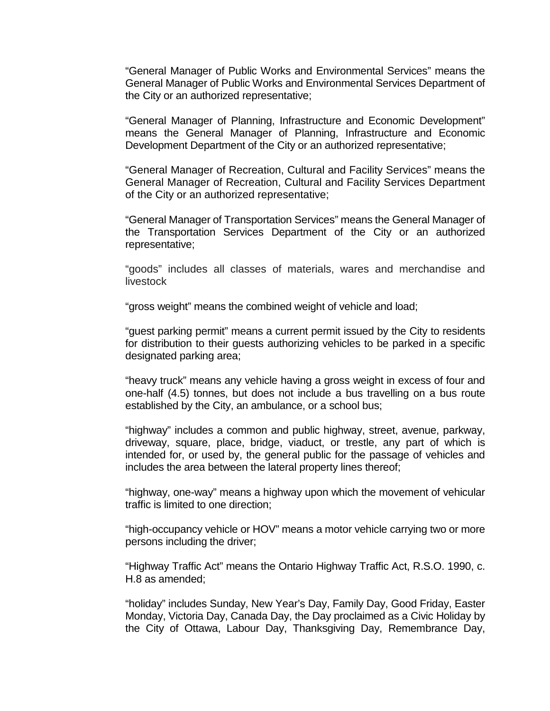"General Manager of Public Works and Environmental Services" means the General Manager of Public Works and Environmental Services Department of the City or an authorized representative;

"General Manager of Planning, Infrastructure and Economic Development" means the General Manager of Planning, Infrastructure and Economic Development Department of the City or an authorized representative;

"General Manager of Recreation, Cultural and Facility Services" means the General Manager of Recreation, Cultural and Facility Services Department of the City or an authorized representative;

"General Manager of Transportation Services" means the General Manager of the Transportation Services Department of the City or an authorized representative;

"goods" includes all classes of materials, wares and merchandise and livestock

"gross weight" means the combined weight of vehicle and load;

"guest parking permit" means a current permit issued by the City to residents for distribution to their guests authorizing vehicles to be parked in a specific designated parking area;

"heavy truck" means any vehicle having a gross weight in excess of four and one-half (4.5) tonnes, but does not include a bus travelling on a bus route established by the City, an ambulance, or a school bus;

"highway" includes a common and public highway, street, avenue, parkway, driveway, square, place, bridge, viaduct, or trestle, any part of which is intended for, or used by, the general public for the passage of vehicles and includes the area between the lateral property lines thereof;

"highway, one-way" means a highway upon which the movement of vehicular traffic is limited to one direction;

"high-occupancy vehicle or HOV" means a motor vehicle carrying two or more persons including the driver;

"Highway Traffic Act" means the Ontario Highway Traffic Act, R.S.O. 1990, c. H.8 as amended;

"holiday" includes Sunday, New Year's Day, Family Day, Good Friday, Easter Monday, Victoria Day, Canada Day, the Day proclaimed as a Civic Holiday by the City of Ottawa, Labour Day, Thanksgiving Day, Remembrance Day,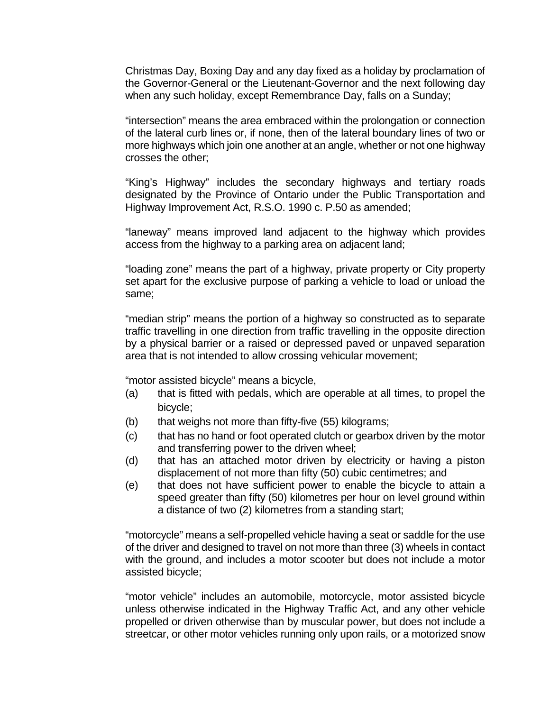Christmas Day, Boxing Day and any day fixed as a holiday by proclamation of the Governor-General or the Lieutenant-Governor and the next following day when any such holiday, except Remembrance Day, falls on a Sunday;

"intersection" means the area embraced within the prolongation or connection of the lateral curb lines or, if none, then of the lateral boundary lines of two or more highways which join one another at an angle, whether or not one highway crosses the other;

"King's Highway" includes the secondary highways and tertiary roads designated by the Province of Ontario under the Public Transportation and Highway Improvement Act, R.S.O. 1990 c. P.50 as amended;

"laneway" means improved land adjacent to the highway which provides access from the highway to a parking area on adjacent land;

"loading zone" means the part of a highway, private property or City property set apart for the exclusive purpose of parking a vehicle to load or unload the same;

"median strip" means the portion of a highway so constructed as to separate traffic travelling in one direction from traffic travelling in the opposite direction by a physical barrier or a raised or depressed paved or unpaved separation area that is not intended to allow crossing vehicular movement;

"motor assisted bicycle" means a bicycle,

- (a) that is fitted with pedals, which are operable at all times, to propel the bicycle;
- (b) that weighs not more than fifty-five (55) kilograms;
- (c) that has no hand or foot operated clutch or gearbox driven by the motor and transferring power to the driven wheel;
- (d) that has an attached motor driven by electricity or having a piston displacement of not more than fifty (50) cubic centimetres; and
- (e) that does not have sufficient power to enable the bicycle to attain a speed greater than fifty (50) kilometres per hour on level ground within a distance of two (2) kilometres from a standing start;

"motorcycle" means a self-propelled vehicle having a seat or saddle for the use of the driver and designed to travel on not more than three (3) wheels in contact with the ground, and includes a motor scooter but does not include a motor assisted bicycle;

"motor vehicle" includes an automobile, motorcycle, motor assisted bicycle unless otherwise indicated in the Highway Traffic Act, and any other vehicle propelled or driven otherwise than by muscular power, but does not include a streetcar, or other motor vehicles running only upon rails, or a motorized snow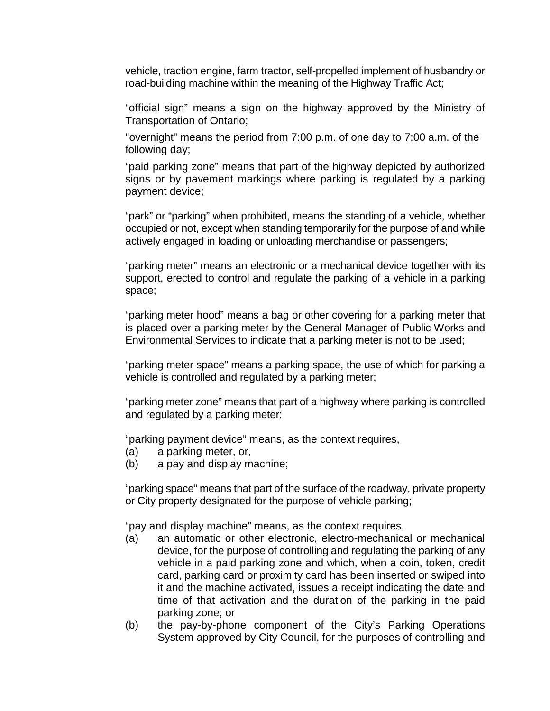vehicle, traction engine, farm tractor, self-propelled implement of husbandry or road-building machine within the meaning of the Highway Traffic Act;

"official sign" means a sign on the highway approved by the Ministry of Transportation of Ontario;

"overnight" means the period from 7:00 p.m. of one day to 7:00 a.m. of the following day;

"paid parking zone" means that part of the highway depicted by authorized signs or by pavement markings where parking is regulated by a parking payment device;

"park" or "parking" when prohibited, means the standing of a vehicle, whether occupied or not, except when standing temporarily for the purpose of and while actively engaged in loading or unloading merchandise or passengers;

"parking meter" means an electronic or a mechanical device together with its support, erected to control and regulate the parking of a vehicle in a parking space;

"parking meter hood" means a bag or other covering for a parking meter that is placed over a parking meter by the General Manager of Public Works and Environmental Services to indicate that a parking meter is not to be used;

"parking meter space" means a parking space, the use of which for parking a vehicle is controlled and regulated by a parking meter;

"parking meter zone" means that part of a highway where parking is controlled and regulated by a parking meter;

"parking payment device" means, as the context requires,

- (a) a parking meter, or,
- (b) a pay and display machine;

"parking space" means that part of the surface of the roadway, private property or City property designated for the purpose of vehicle parking;

"pay and display machine" means, as the context requires,

- (a) an automatic or other electronic, electro-mechanical or mechanical device, for the purpose of controlling and regulating the parking of any vehicle in a paid parking zone and which, when a coin, token, credit card, parking card or proximity card has been inserted or swiped into it and the machine activated, issues a receipt indicating the date and time of that activation and the duration of the parking in the paid parking zone; or
- (b) the pay-by-phone component of the City's Parking Operations System approved by City Council, for the purposes of controlling and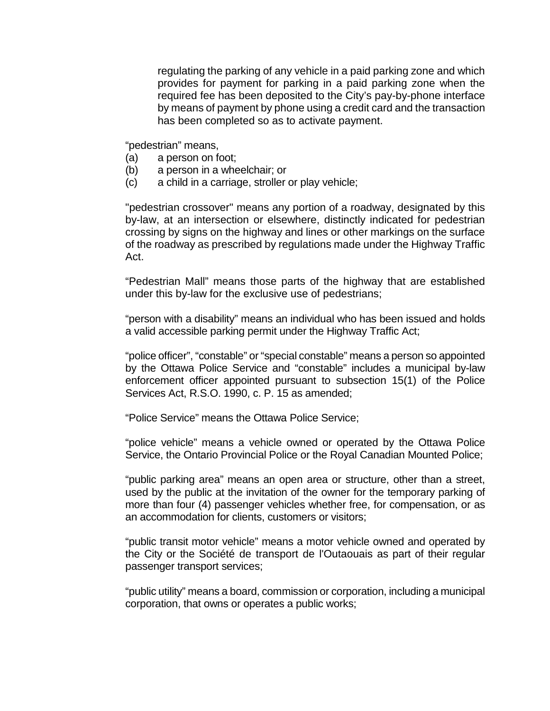regulating the parking of any vehicle in a paid parking zone and which provides for payment for parking in a paid parking zone when the required fee has been deposited to the City's pay-by-phone interface by means of payment by phone using a credit card and the transaction has been completed so as to activate payment.

"pedestrian" means,

- (a) a person on foot;
- (b) a person in a wheelchair; or
- (c) a child in a carriage, stroller or play vehicle;

"pedestrian crossover" means any portion of a roadway, designated by this by-law, at an intersection or elsewhere, distinctly indicated for pedestrian crossing by signs on the highway and lines or other markings on the surface of the roadway as prescribed by regulations made under the Highway Traffic Act.

"Pedestrian Mall" means those parts of the highway that are established under this by-law for the exclusive use of pedestrians;

"person with a disability" means an individual who has been issued and holds a valid accessible parking permit under the Highway Traffic Act;

"police officer", "constable" or "special constable" means a person so appointed by the Ottawa Police Service and "constable" includes a municipal by-law enforcement officer appointed pursuant to subsection 15(1) of the Police Services Act, R.S.O. 1990, c. P. 15 as amended;

"Police Service" means the Ottawa Police Service;

"police vehicle" means a vehicle owned or operated by the Ottawa Police Service, the Ontario Provincial Police or the Royal Canadian Mounted Police;

"public parking area" means an open area or structure, other than a street, used by the public at the invitation of the owner for the temporary parking of more than four (4) passenger vehicles whether free, for compensation, or as an accommodation for clients, customers or visitors;

"public transit motor vehicle" means a motor vehicle owned and operated by the City or the Société de transport de l'Outaouais as part of their regular passenger transport services;

"public utility" means a board, commission or corporation, including a municipal corporation, that owns or operates a public works;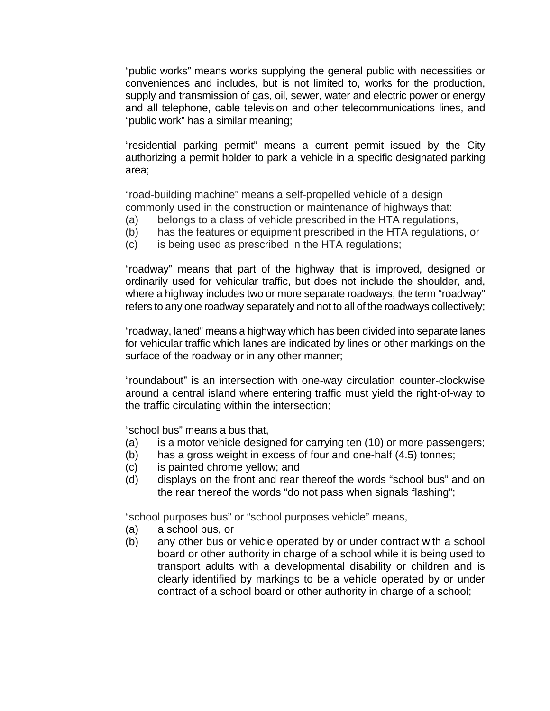"public works" means works supplying the general public with necessities or conveniences and includes, but is not limited to, works for the production, supply and transmission of gas, oil, sewer, water and electric power or energy and all telephone, cable television and other telecommunications lines, and "public work" has a similar meaning;

"residential parking permit" means a current permit issued by the City authorizing a permit holder to park a vehicle in a specific designated parking area;

"road-building machine" means a self-propelled vehicle of a design commonly used in the construction or maintenance of highways that:

- (a) belongs to a class of vehicle prescribed in the HTA regulations,
- (b) has the features or equipment prescribed in the HTA regulations, or
- (c) is being used as prescribed in the HTA regulations;

"roadway" means that part of the highway that is improved, designed or ordinarily used for vehicular traffic, but does not include the shoulder, and, where a highway includes two or more separate roadways, the term "roadway" refers to any one roadway separately and not to all of the roadways collectively;

"roadway, laned" means a highway which has been divided into separate lanes for vehicular traffic which lanes are indicated by lines or other markings on the surface of the roadway or in any other manner;

"roundabout" is an intersection with one-way circulation counter-clockwise around a central island where entering traffic must yield the right-of-way to the traffic circulating within the intersection;

"school bus" means a bus that,

- (a) is a motor vehicle designed for carrying ten (10) or more passengers;
- (b) has a gross weight in excess of four and one-half (4.5) tonnes;
- (c) is painted chrome yellow; and
- (d) displays on the front and rear thereof the words "school bus" and on the rear thereof the words "do not pass when signals flashing";

"school purposes bus" or "school purposes vehicle" means,

- (a) a school bus, or
- (b) any other bus or vehicle operated by or under contract with a school board or other authority in charge of a school while it is being used to transport adults with a developmental disability or children and is clearly identified by markings to be a vehicle operated by or under contract of a school board or other authority in charge of a school;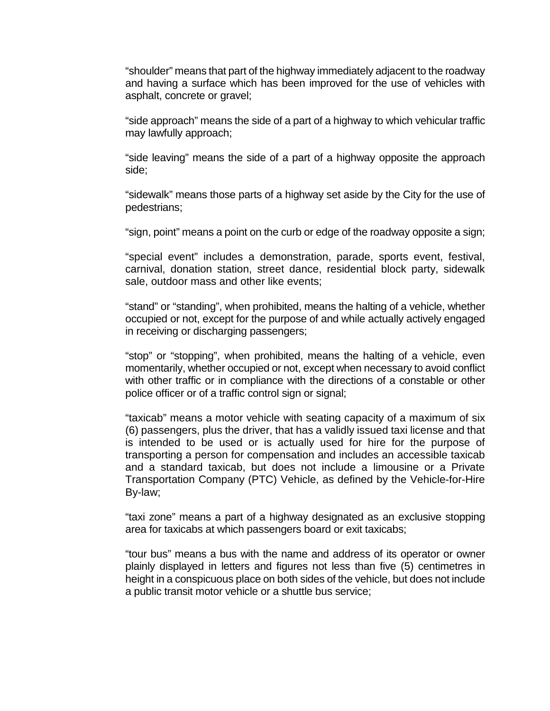"shoulder" means that part of the highway immediately adjacent to the roadway and having a surface which has been improved for the use of vehicles with asphalt, concrete or gravel;

"side approach" means the side of a part of a highway to which vehicular traffic may lawfully approach;

"side leaving" means the side of a part of a highway opposite the approach side;

"sidewalk" means those parts of a highway set aside by the City for the use of pedestrians;

"sign, point" means a point on the curb or edge of the roadway opposite a sign;

"special event" includes a demonstration, parade, sports event, festival, carnival, donation station, street dance, residential block party, sidewalk sale, outdoor mass and other like events;

"stand" or "standing", when prohibited, means the halting of a vehicle, whether occupied or not, except for the purpose of and while actually actively engaged in receiving or discharging passengers;

"stop" or "stopping", when prohibited, means the halting of a vehicle, even momentarily, whether occupied or not, except when necessary to avoid conflict with other traffic or in compliance with the directions of a constable or other police officer or of a traffic control sign or signal;

"taxicab" means a motor vehicle with seating capacity of a maximum of six (6) passengers, plus the driver, that has a validly issued taxi license and that is intended to be used or is actually used for hire for the purpose of transporting a person for compensation and includes an accessible taxicab and a standard taxicab, but does not include a limousine or a Private Transportation Company (PTC) Vehicle, as defined by the Vehicle-for-Hire By-law;

"taxi zone" means a part of a highway designated as an exclusive stopping area for taxicabs at which passengers board or exit taxicabs;

"tour bus" means a bus with the name and address of its operator or owner plainly displayed in letters and figures not less than five (5) centimetres in height in a conspicuous place on both sides of the vehicle, but does not include a public transit motor vehicle or a shuttle bus service;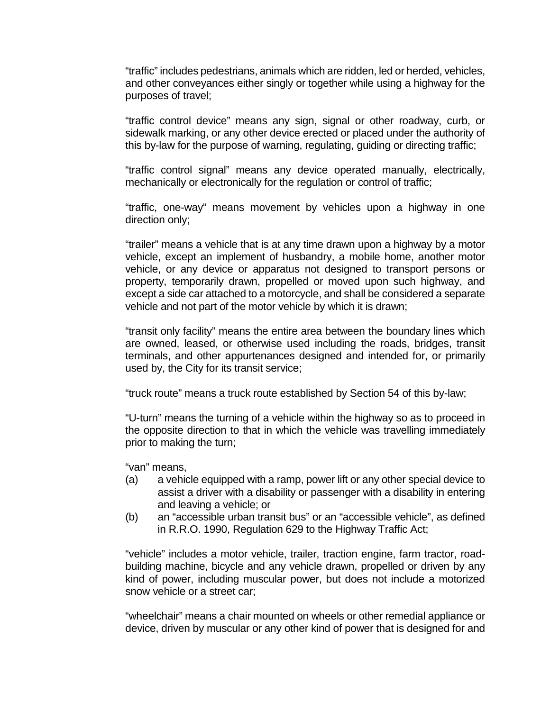"traffic" includes pedestrians, animals which are ridden, led or herded, vehicles, and other conveyances either singly or together while using a highway for the purposes of travel;

"traffic control device" means any sign, signal or other roadway, curb, or sidewalk marking, or any other device erected or placed under the authority of this by-law for the purpose of warning, regulating, guiding or directing traffic;

"traffic control signal" means any device operated manually, electrically, mechanically or electronically for the regulation or control of traffic;

"traffic, one-way" means movement by vehicles upon a highway in one direction only;

"trailer" means a vehicle that is at any time drawn upon a highway by a motor vehicle, except an implement of husbandry, a mobile home, another motor vehicle, or any device or apparatus not designed to transport persons or property, temporarily drawn, propelled or moved upon such highway, and except a side car attached to a motorcycle, and shall be considered a separate vehicle and not part of the motor vehicle by which it is drawn;

"transit only facility" means the entire area between the boundary lines which are owned, leased, or otherwise used including the roads, bridges, transit terminals, and other appurtenances designed and intended for, or primarily used by, the City for its transit service;

"truck route" means a truck route established by Section 54 of this by-law;

"U-turn" means the turning of a vehicle within the highway so as to proceed in the opposite direction to that in which the vehicle was travelling immediately prior to making the turn;

"van" means,

- (a) a vehicle equipped with a ramp, power lift or any other special device to assist a driver with a disability or passenger with a disability in entering and leaving a vehicle; or
- (b) an "accessible urban transit bus" or an "accessible vehicle", as defined in R.R.O. 1990, Regulation 629 to the Highway Traffic Act;

"vehicle" includes a motor vehicle, trailer, traction engine, farm tractor, roadbuilding machine, bicycle and any vehicle drawn, propelled or driven by any kind of power, including muscular power, but does not include a motorized snow vehicle or a street car;

"wheelchair" means a chair mounted on wheels or other remedial appliance or device, driven by muscular or any other kind of power that is designed for and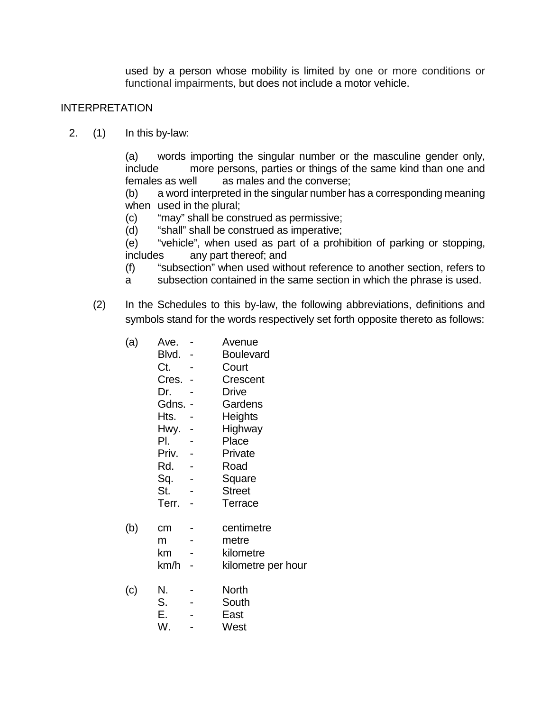used by a person whose mobility is limited by one or more conditions or functional impairments, but does not include a motor vehicle.

### INTERPRETATION

2. (1) In this by-law:

(a) words importing the singular number or the masculine gender only, include more persons, parties or things of the same kind than one and females as well as males and the converse;

(b) a word interpreted in the singular number has a corresponding meaning when used in the plural;

- (c) "may" shall be construed as permissive;
- (d) "shall" shall be construed as imperative;

(e) "vehicle", when used as part of a prohibition of parking or stopping, includes any part thereof; and

- (f) "subsection" when used without reference to another section, refers to
- a subsection contained in the same section in which the phrase is used.
- (2) In the Schedules to this by-law, the following abbreviations, definitions and symbols stand for the words respectively set forth opposite thereto as follows:
	- (a) Ave. Avenue
		- Blvd. Boulevard
		- Ct. Court
		- Cres. Crescent
		- Dr. Drive
		- Gdns. Gardens
		- Hts. Heights
		- Hwy. Highway
		- Pl. Place
		- Priv. Private
		- Rd. Road
		- Sq. Square
		- St. Street
		- Terr. Terrace
	- (b) cm centimetre
		- m metre
		- km kilometre
		- km/h kilometre per hour
	- (c) N. North
		- S. South
		- E. East
		- W. West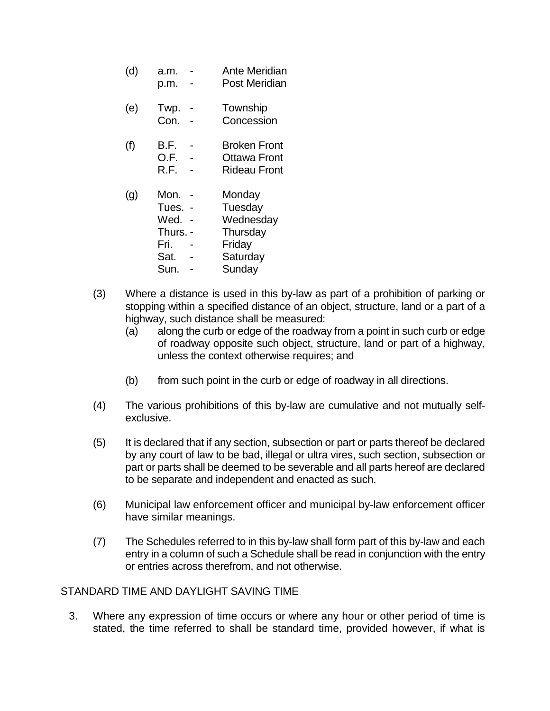- (d) a.m. Ante Meridian p.m. - Post Meridian
- (e) Twp. Township
	- Con. Concession
- (f) B.F. Broken Front O.F. - Ottawa Front
	- R.F. Rideau Front
- (g) Mon. Monday
	- Tues. Tuesday
	- Wed. Wednesday
	- Thurs. Thursday
	- Fri. Friday
	- Sat. Saturday
	- Sun. Sunday
- (3) Where a distance is used in this by-law as part of a prohibition of parking or stopping within a specified distance of an object, structure, land or a part of a highway, such distance shall be measured:
	- (a) along the curb or edge of the roadway from a point in such curb or edge of roadway opposite such object, structure, land or part of a highway, unless the context otherwise requires; and
	- (b) from such point in the curb or edge of roadway in all directions.
- (4) The various prohibitions of this by-law are cumulative and not mutually selfexclusive.
- (5) It is declared that if any section, subsection or part or parts thereof be declared by any court of law to be bad, illegal or ultra vires, such section, subsection or part or parts shall be deemed to be severable and all parts hereof are declared to be separate and independent and enacted as such.
- (6) Municipal law enforcement officer and municipal by-law enforcement officer have similar meanings.
- (7) The Schedules referred to in this by-law shall form part of this by-law and each entry in a column of such a Schedule shall be read in conjunction with the entry or entries across therefrom, and not otherwise.

### STANDARD TIME AND DAYLIGHT SAVING TIME

3. Where any expression of time occurs or where any hour or other period of time is stated, the time referred to shall be standard time, provided however, if what is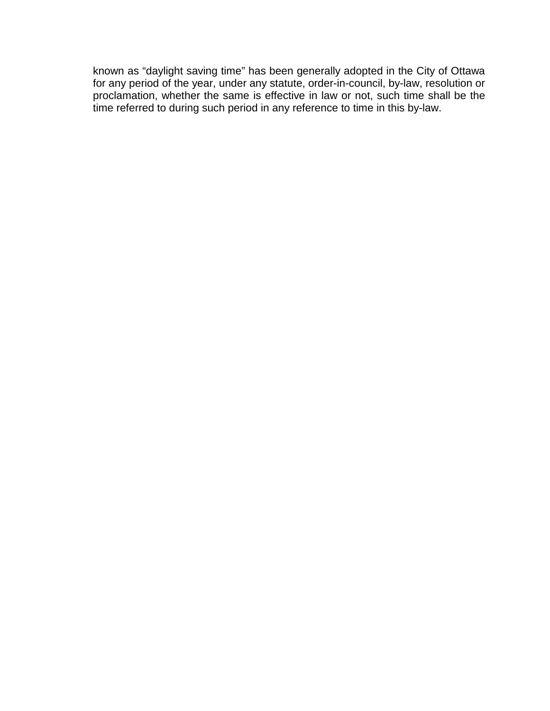known as "daylight saving time" has been generally adopted in the City of Ottawa for any period of the year, under any statute, order-in-council, by-law, resolution or proclamation, whether the same is effective in law or not, such time shall be the time referred to during such period in any reference to time in this by-law.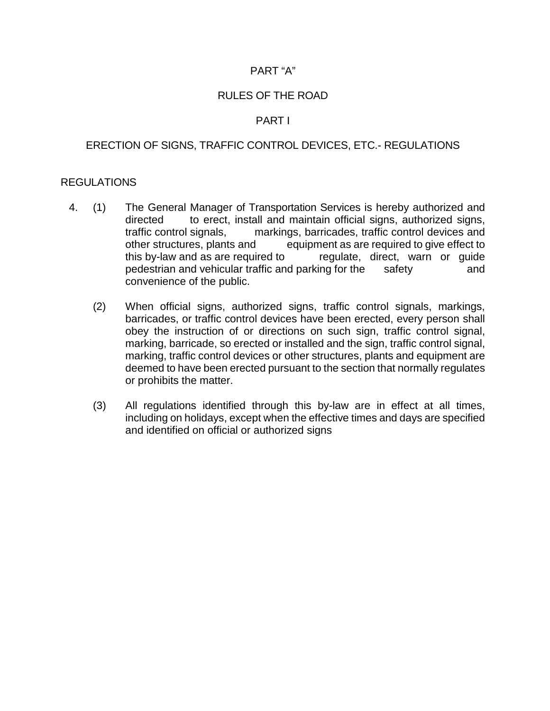### PART "A"

### RULES OF THE ROAD

### PART I

### ERECTION OF SIGNS, TRAFFIC CONTROL DEVICES, ETC.- REGULATIONS

#### REGULATIONS

- 4. (1) The General Manager of Transportation Services is hereby authorized and directed to erect, install and maintain official signs, authorized signs, traffic control signals, markings, barricades, traffic control devices and other structures, plants and equipment as are required to give effect to this by-law and as are required to regulate, direct, warn or guide pedestrian and vehicular traffic and parking for the safety and pedestrian and vehicular traffic and parking for the safety and convenience of the public.
	- (2) When official signs, authorized signs, traffic control signals, markings, barricades, or traffic control devices have been erected, every person shall obey the instruction of or directions on such sign, traffic control signal, marking, barricade, so erected or installed and the sign, traffic control signal, marking, traffic control devices or other structures, plants and equipment are deemed to have been erected pursuant to the section that normally regulates or prohibits the matter.
	- (3) All regulations identified through this by-law are in effect at all times, including on holidays, except when the effective times and days are specified and identified on official or authorized signs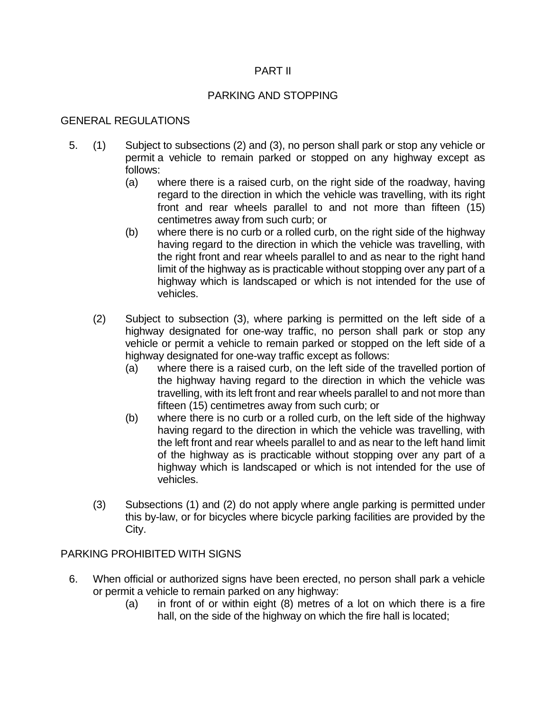## PART II

# PARKING AND STOPPING

# GENERAL REGULATIONS

- 5. (1) Subject to subsections (2) and (3), no person shall park or stop any vehicle or permit a vehicle to remain parked or stopped on any highway except as follows:
	- (a) where there is a raised curb, on the right side of the roadway, having regard to the direction in which the vehicle was travelling, with its right front and rear wheels parallel to and not more than fifteen (15) centimetres away from such curb; or
	- (b) where there is no curb or a rolled curb, on the right side of the highway having regard to the direction in which the vehicle was travelling, with the right front and rear wheels parallel to and as near to the right hand limit of the highway as is practicable without stopping over any part of a highway which is landscaped or which is not intended for the use of vehicles.
	- (2) Subject to subsection (3), where parking is permitted on the left side of a highway designated for one-way traffic, no person shall park or stop any vehicle or permit a vehicle to remain parked or stopped on the left side of a highway designated for one-way traffic except as follows:
		- (a) where there is a raised curb, on the left side of the travelled portion of the highway having regard to the direction in which the vehicle was travelling, with its left front and rear wheels parallel to and not more than fifteen (15) centimetres away from such curb; or
		- (b) where there is no curb or a rolled curb, on the left side of the highway having regard to the direction in which the vehicle was travelling, with the left front and rear wheels parallel to and as near to the left hand limit of the highway as is practicable without stopping over any part of a highway which is landscaped or which is not intended for the use of vehicles.
	- (3) Subsections (1) and (2) do not apply where angle parking is permitted under this by-law, or for bicycles where bicycle parking facilities are provided by the City.

# PARKING PROHIBITED WITH SIGNS

- 6. When official or authorized signs have been erected, no person shall park a vehicle or permit a vehicle to remain parked on any highway:
	- (a) in front of or within eight (8) metres of a lot on which there is a fire hall, on the side of the highway on which the fire hall is located;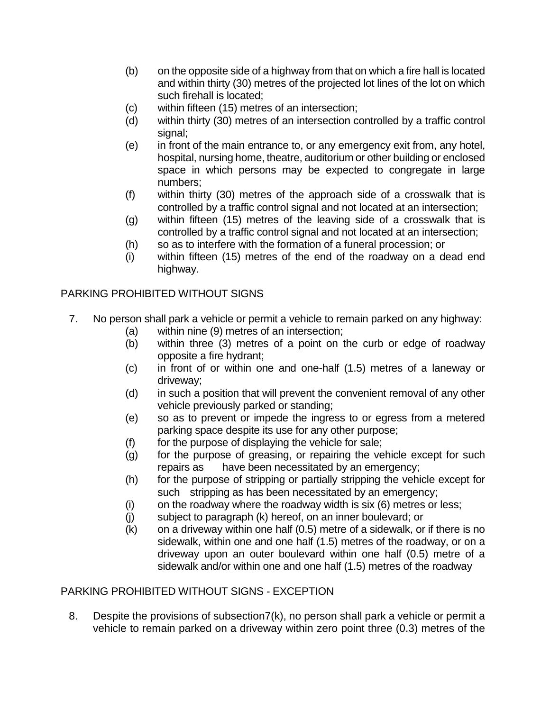- (b) on the opposite side of a highway from that on which a fire hall is located and within thirty (30) metres of the projected lot lines of the lot on which such firehall is located;
- (c) within fifteen (15) metres of an intersection;
- (d) within thirty (30) metres of an intersection controlled by a traffic control signal;
- (e) in front of the main entrance to, or any emergency exit from, any hotel, hospital, nursing home, theatre, auditorium or other building or enclosed space in which persons may be expected to congregate in large numbers;
- (f) within thirty (30) metres of the approach side of a crosswalk that is controlled by a traffic control signal and not located at an intersection;
- (g) within fifteen (15) metres of the leaving side of a crosswalk that is controlled by a traffic control signal and not located at an intersection;
- (h) so as to interfere with the formation of a funeral procession; or
- (i) within fifteen (15) metres of the end of the roadway on a dead end highway.

## PARKING PROHIBITED WITHOUT SIGNS

- 7. No person shall park a vehicle or permit a vehicle to remain parked on any highway:
	- (a) within nine (9) metres of an intersection;
	- (b) within three (3) metres of a point on the curb or edge of roadway opposite a fire hydrant;
	- (c) in front of or within one and one-half (1.5) metres of a laneway or driveway;
	- (d) in such a position that will prevent the convenient removal of any other vehicle previously parked or standing;
	- (e) so as to prevent or impede the ingress to or egress from a metered parking space despite its use for any other purpose;
	- $(f)$  for the purpose of displaying the vehicle for sale;
	- (g) for the purpose of greasing, or repairing the vehicle except for such repairs as have been necessitated by an emergency;
	- (h) for the purpose of stripping or partially stripping the vehicle except for such stripping as has been necessitated by an emergency;
	- $(i)$  on the roadway where the roadway width is six  $(6)$  metres or less;
	- (j) subject to paragraph (k) hereof, on an inner boulevard; or
	- $(k)$  on a driveway within one half  $(0.5)$  metre of a sidewalk, or if there is no sidewalk, within one and one half (1.5) metres of the roadway, or on a driveway upon an outer boulevard within one half (0.5) metre of a sidewalk and/or within one and one half (1.5) metres of the roadway

### PARKING PROHIBITED WITHOUT SIGNS - EXCEPTION

8. Despite the provisions of subsection7(k), no person shall park a vehicle or permit a vehicle to remain parked on a driveway within zero point three (0.3) metres of the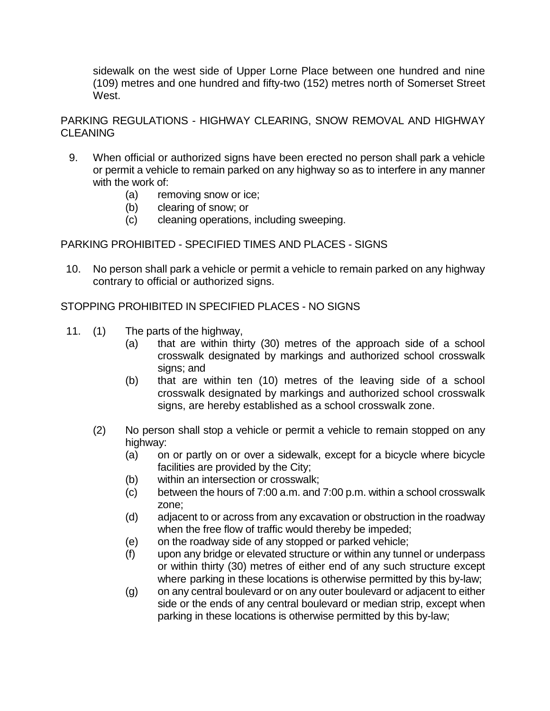sidewalk on the west side of Upper Lorne Place between one hundred and nine (109) metres and one hundred and fifty-two (152) metres north of Somerset Street West.

PARKING REGULATIONS - HIGHWAY CLEARING, SNOW REMOVAL AND HIGHWAY **CLEANING** 

- 9. When official or authorized signs have been erected no person shall park a vehicle or permit a vehicle to remain parked on any highway so as to interfere in any manner with the work of:
	- (a) removing snow or ice;
	- (b) clearing of snow; or
	- (c) cleaning operations, including sweeping.

PARKING PROHIBITED - SPECIFIED TIMES AND PLACES - SIGNS

10. No person shall park a vehicle or permit a vehicle to remain parked on any highway contrary to official or authorized signs.

STOPPING PROHIBITED IN SPECIFIED PLACES - NO SIGNS

- 11. (1) The parts of the highway,
	- (a) that are within thirty (30) metres of the approach side of a school crosswalk designated by markings and authorized school crosswalk signs; and
	- (b) that are within ten (10) metres of the leaving side of a school crosswalk designated by markings and authorized school crosswalk signs, are hereby established as a school crosswalk zone.
	- (2) No person shall stop a vehicle or permit a vehicle to remain stopped on any highway:
		- (a) on or partly on or over a sidewalk, except for a bicycle where bicycle facilities are provided by the City;
		- (b) within an intersection or crosswalk;
		- (c) between the hours of 7:00 a.m. and 7:00 p.m. within a school crosswalk zone;
		- (d) adjacent to or across from any excavation or obstruction in the roadway when the free flow of traffic would thereby be impeded;
		- (e) on the roadway side of any stopped or parked vehicle;
		- (f) upon any bridge or elevated structure or within any tunnel or underpass or within thirty (30) metres of either end of any such structure except where parking in these locations is otherwise permitted by this by-law;
		- (g) on any central boulevard or on any outer boulevard or adjacent to either side or the ends of any central boulevard or median strip, except when parking in these locations is otherwise permitted by this by-law;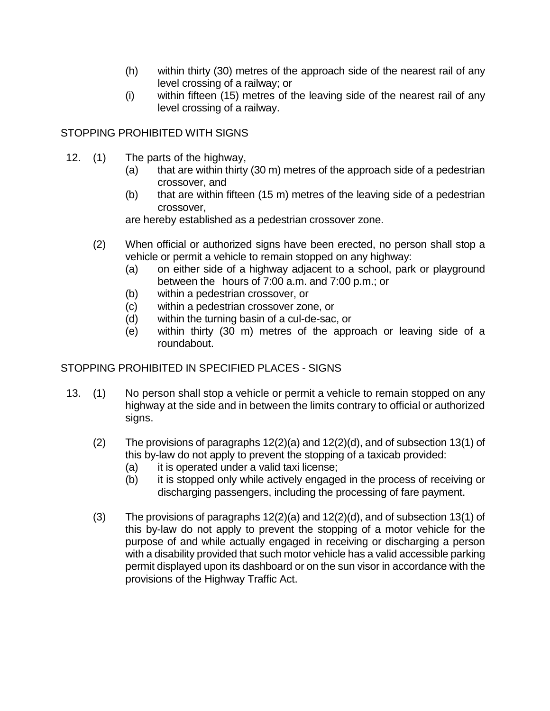- (h) within thirty (30) metres of the approach side of the nearest rail of any level crossing of a railway; or
- (i) within fifteen (15) metres of the leaving side of the nearest rail of any level crossing of a railway.

# STOPPING PROHIBITED WITH SIGNS

- 12. (1) The parts of the highway,
	- (a) that are within thirty (30 m) metres of the approach side of a pedestrian crossover, and
	- (b) that are within fifteen  $(15 \text{ m})$  metres of the leaving side of a pedestrian crossover,

are hereby established as a pedestrian crossover zone.

- (2) When official or authorized signs have been erected, no person shall stop a vehicle or permit a vehicle to remain stopped on any highway:
	- (a) on either side of a highway adjacent to a school, park or playground between the hours of 7:00 a.m. and 7:00 p.m.; or
	- (b) within a pedestrian crossover, or
	- (c) within a pedestrian crossover zone, or
	- (d) within the turning basin of a cul-de-sac, or
	- (e) within thirty (30 m) metres of the approach or leaving side of a roundabout.

# STOPPING PROHIBITED IN SPECIFIED PLACES - SIGNS

- 13. (1) No person shall stop a vehicle or permit a vehicle to remain stopped on any highway at the side and in between the limits contrary to official or authorized signs.
	- (2) The provisions of paragraphs 12(2)(a) and 12(2)(d), and of subsection 13(1) of this by-law do not apply to prevent the stopping of a taxicab provided:
		- (a) it is operated under a valid taxi license;
		- (b) it is stopped only while actively engaged in the process of receiving or discharging passengers, including the processing of fare payment.
	- (3) The provisions of paragraphs 12(2)(a) and 12(2)(d), and of subsection 13(1) of this by-law do not apply to prevent the stopping of a motor vehicle for the purpose of and while actually engaged in receiving or discharging a person with a disability provided that such motor vehicle has a valid accessible parking permit displayed upon its dashboard or on the sun visor in accordance with the provisions of the Highway Traffic Act.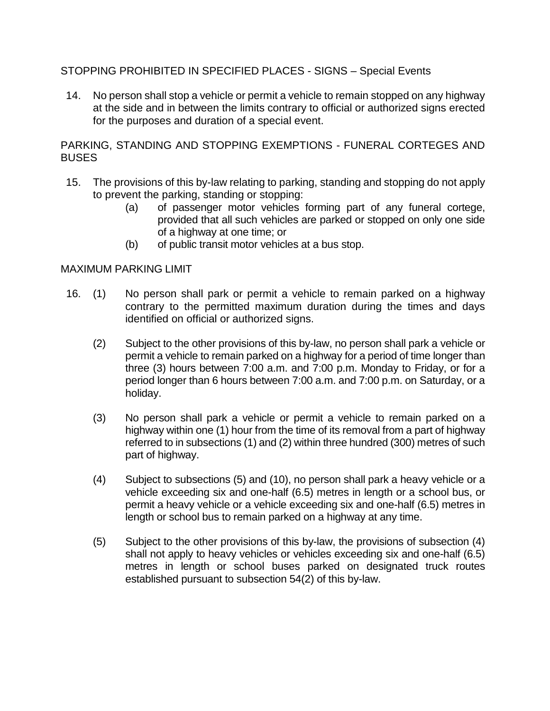## STOPPING PROHIBITED IN SPECIFIED PLACES - SIGNS – Special Events

14. No person shall stop a vehicle or permit a vehicle to remain stopped on any highway at the side and in between the limits contrary to official or authorized signs erected for the purposes and duration of a special event.

PARKING, STANDING AND STOPPING EXEMPTIONS - FUNERAL CORTEGES AND **BUSES** 

- 15. The provisions of this by-law relating to parking, standing and stopping do not apply to prevent the parking, standing or stopping:
	- (a) of passenger motor vehicles forming part of any funeral cortege, provided that all such vehicles are parked or stopped on only one side of a highway at one time; or
	- (b) of public transit motor vehicles at a bus stop.

#### MAXIMUM PARKING LIMIT

- 16. (1) No person shall park or permit a vehicle to remain parked on a highway contrary to the permitted maximum duration during the times and days identified on official or authorized signs.
	- (2) Subject to the other provisions of this by-law, no person shall park a vehicle or permit a vehicle to remain parked on a highway for a period of time longer than three (3) hours between 7:00 a.m. and 7:00 p.m. Monday to Friday, or for a period longer than 6 hours between 7:00 a.m. and 7:00 p.m. on Saturday, or a holiday.
	- (3) No person shall park a vehicle or permit a vehicle to remain parked on a highway within one (1) hour from the time of its removal from a part of highway referred to in subsections (1) and (2) within three hundred (300) metres of such part of highway.
	- (4) Subject to subsections (5) and (10), no person shall park a heavy vehicle or a vehicle exceeding six and one-half (6.5) metres in length or a school bus, or permit a heavy vehicle or a vehicle exceeding six and one-half (6.5) metres in length or school bus to remain parked on a highway at any time.
	- (5) Subject to the other provisions of this by-law, the provisions of subsection (4) shall not apply to heavy vehicles or vehicles exceeding six and one-half (6.5) metres in length or school buses parked on designated truck routes established pursuant to subsection 54(2) of this by-law.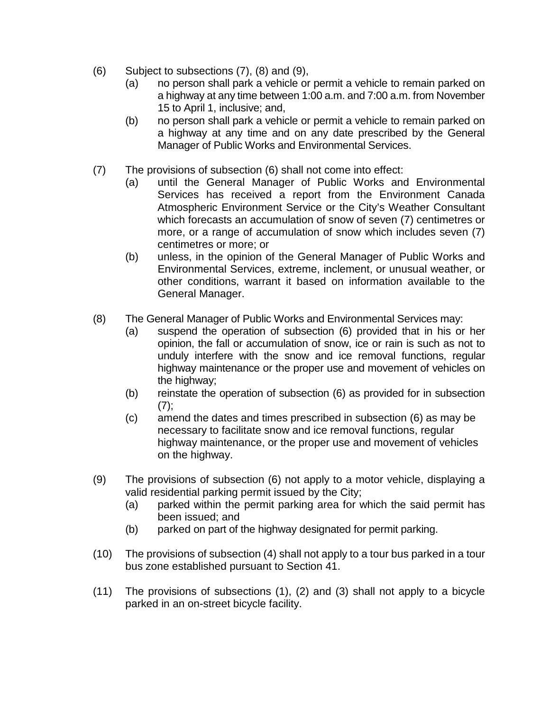- (6) Subject to subsections (7), (8) and (9),
	- (a) no person shall park a vehicle or permit a vehicle to remain parked on a highway at any time between 1:00 a.m. and 7:00 a.m. from November 15 to April 1, inclusive; and,
	- (b) no person shall park a vehicle or permit a vehicle to remain parked on a highway at any time and on any date prescribed by the General Manager of Public Works and Environmental Services.
- (7) The provisions of subsection (6) shall not come into effect:
	- (a) until the General Manager of Public Works and Environmental Services has received a report from the Environment Canada Atmospheric Environment Service or the City's Weather Consultant which forecasts an accumulation of snow of seven (7) centimetres or more, or a range of accumulation of snow which includes seven (7) centimetres or more; or
	- (b) unless, in the opinion of the General Manager of Public Works and Environmental Services, extreme, inclement, or unusual weather, or other conditions, warrant it based on information available to the General Manager.
- (8) The General Manager of Public Works and Environmental Services may:
	- (a) suspend the operation of subsection (6) provided that in his or her opinion, the fall or accumulation of snow, ice or rain is such as not to unduly interfere with the snow and ice removal functions, regular highway maintenance or the proper use and movement of vehicles on the highway;
	- (b) reinstate the operation of subsection (6) as provided for in subsection  $(7)$ ;
	- (c) amend the dates and times prescribed in subsection (6) as may be necessary to facilitate snow and ice removal functions, regular highway maintenance, or the proper use and movement of vehicles on the highway.
- (9) The provisions of subsection (6) not apply to a motor vehicle, displaying a valid residential parking permit issued by the City;
	- (a) parked within the permit parking area for which the said permit has been issued; and
	- (b) parked on part of the highway designated for permit parking.
- (10) The provisions of subsection (4) shall not apply to a tour bus parked in a tour bus zone established pursuant to Section 41.
- (11) The provisions of subsections (1), (2) and (3) shall not apply to a bicycle parked in an on-street bicycle facility.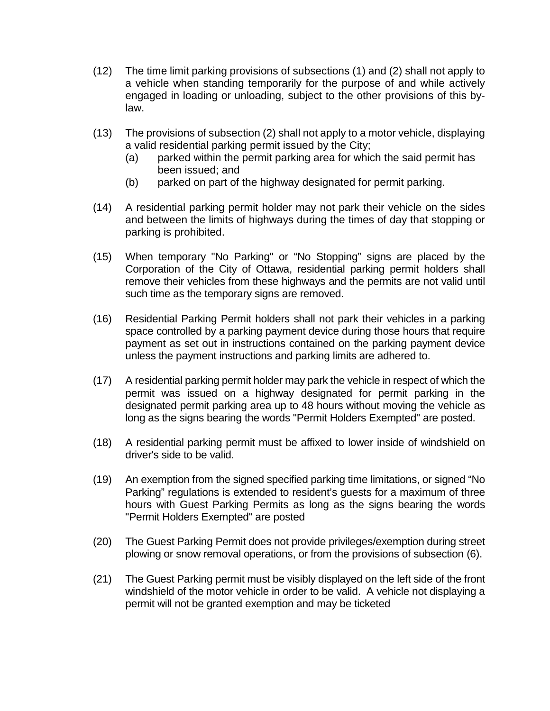- (12) The time limit parking provisions of subsections (1) and (2) shall not apply to a vehicle when standing temporarily for the purpose of and while actively engaged in loading or unloading, subject to the other provisions of this bylaw.
- (13) The provisions of subsection (2) shall not apply to a motor vehicle, displaying a valid residential parking permit issued by the City;
	- (a) parked within the permit parking area for which the said permit has been issued; and
	- (b) parked on part of the highway designated for permit parking.
- (14) A residential parking permit holder may not park their vehicle on the sides and between the limits of highways during the times of day that stopping or parking is prohibited.
- (15) When temporary "No Parking" or "No Stopping" signs are placed by the Corporation of the City of Ottawa, residential parking permit holders shall remove their vehicles from these highways and the permits are not valid until such time as the temporary signs are removed.
- (16) Residential Parking Permit holders shall not park their vehicles in a parking space controlled by a parking payment device during those hours that require payment as set out in instructions contained on the parking payment device unless the payment instructions and parking limits are adhered to.
- (17) A residential parking permit holder may park the vehicle in respect of which the permit was issued on a highway designated for permit parking in the designated permit parking area up to 48 hours without moving the vehicle as long as the signs bearing the words "Permit Holders Exempted" are posted.
- (18) A residential parking permit must be affixed to lower inside of windshield on driver's side to be valid.
- (19) An exemption from the signed specified parking time limitations, or signed "No Parking" regulations is extended to resident's guests for a maximum of three hours with Guest Parking Permits as long as the signs bearing the words "Permit Holders Exempted" are posted
- (20) The Guest Parking Permit does not provide privileges/exemption during street plowing or snow removal operations, or from the provisions of subsection (6).
- (21) The Guest Parking permit must be visibly displayed on the left side of the front windshield of the motor vehicle in order to be valid. A vehicle not displaying a permit will not be granted exemption and may be ticketed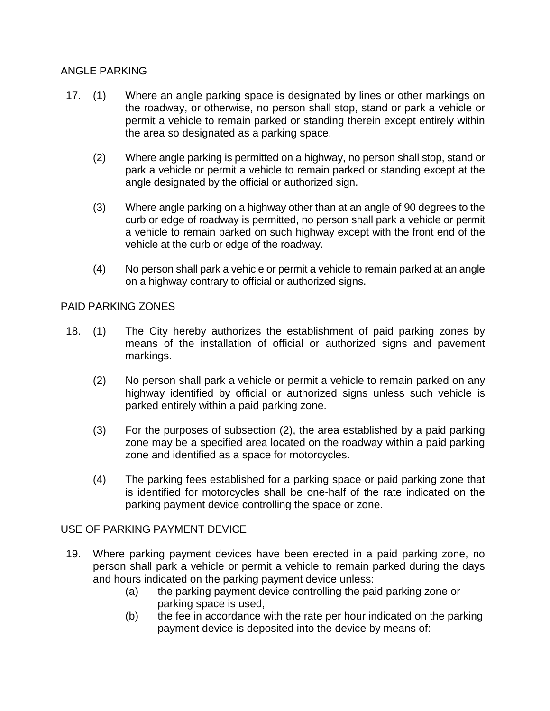### ANGLE PARKING

- 17. (1) Where an angle parking space is designated by lines or other markings on the roadway, or otherwise, no person shall stop, stand or park a vehicle or permit a vehicle to remain parked or standing therein except entirely within the area so designated as a parking space.
	- (2) Where angle parking is permitted on a highway, no person shall stop, stand or park a vehicle or permit a vehicle to remain parked or standing except at the angle designated by the official or authorized sign.
	- (3) Where angle parking on a highway other than at an angle of 90 degrees to the curb or edge of roadway is permitted, no person shall park a vehicle or permit a vehicle to remain parked on such highway except with the front end of the vehicle at the curb or edge of the roadway.
	- (4) No person shall park a vehicle or permit a vehicle to remain parked at an angle on a highway contrary to official or authorized signs.

#### PAID PARKING ZONES

- 18. (1) The City hereby authorizes the establishment of paid parking zones by means of the installation of official or authorized signs and pavement markings.
	- (2) No person shall park a vehicle or permit a vehicle to remain parked on any highway identified by official or authorized signs unless such vehicle is parked entirely within a paid parking zone.
	- (3) For the purposes of subsection (2), the area established by a paid parking zone may be a specified area located on the roadway within a paid parking zone and identified as a space for motorcycles.
	- (4) The parking fees established for a parking space or paid parking zone that is identified for motorcycles shall be one-half of the rate indicated on the parking payment device controlling the space or zone.

#### USE OF PARKING PAYMENT DEVICE

- 19. Where parking payment devices have been erected in a paid parking zone, no person shall park a vehicle or permit a vehicle to remain parked during the days and hours indicated on the parking payment device unless:
	- (a) the parking payment device controlling the paid parking zone or parking space is used,
	- (b) the fee in accordance with the rate per hour indicated on the parking payment device is deposited into the device by means of: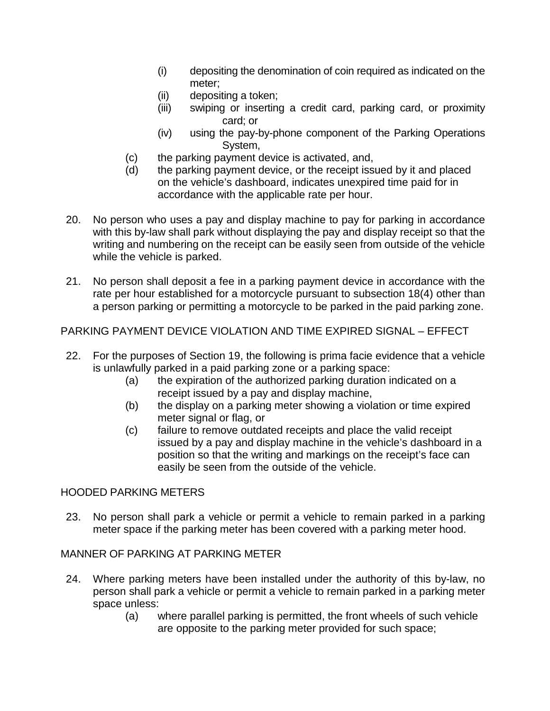- (i) depositing the denomination of coin required as indicated on the meter;
- (ii) depositing a token;
- (iii) swiping or inserting a credit card, parking card, or proximity card; or
- (iv) using the pay-by-phone component of the Parking Operations System,
- (c) the parking payment device is activated, and,
- (d) the parking payment device, or the receipt issued by it and placed on the vehicle's dashboard, indicates unexpired time paid for in accordance with the applicable rate per hour.
- 20. No person who uses a pay and display machine to pay for parking in accordance with this by-law shall park without displaying the pay and display receipt so that the writing and numbering on the receipt can be easily seen from outside of the vehicle while the vehicle is parked.
- 21. No person shall deposit a fee in a parking payment device in accordance with the rate per hour established for a motorcycle pursuant to subsection 18(4) other than a person parking or permitting a motorcycle to be parked in the paid parking zone.

# PARKING PAYMENT DEVICE VIOLATION AND TIME EXPIRED SIGNAL – EFFECT

- 22. For the purposes of Section 19, the following is prima facie evidence that a vehicle is unlawfully parked in a paid parking zone or a parking space:
	- (a) the expiration of the authorized parking duration indicated on a receipt issued by a pay and display machine,
	- (b) the display on a parking meter showing a violation or time expired meter signal or flag, or
	- (c) failure to remove outdated receipts and place the valid receipt issued by a pay and display machine in the vehicle's dashboard in a position so that the writing and markings on the receipt's face can easily be seen from the outside of the vehicle.

# HOODED PARKING METERS

23. No person shall park a vehicle or permit a vehicle to remain parked in a parking meter space if the parking meter has been covered with a parking meter hood.

# MANNER OF PARKING AT PARKING METER

- 24. Where parking meters have been installed under the authority of this by-law, no person shall park a vehicle or permit a vehicle to remain parked in a parking meter space unless:
	- (a) where parallel parking is permitted, the front wheels of such vehicle are opposite to the parking meter provided for such space;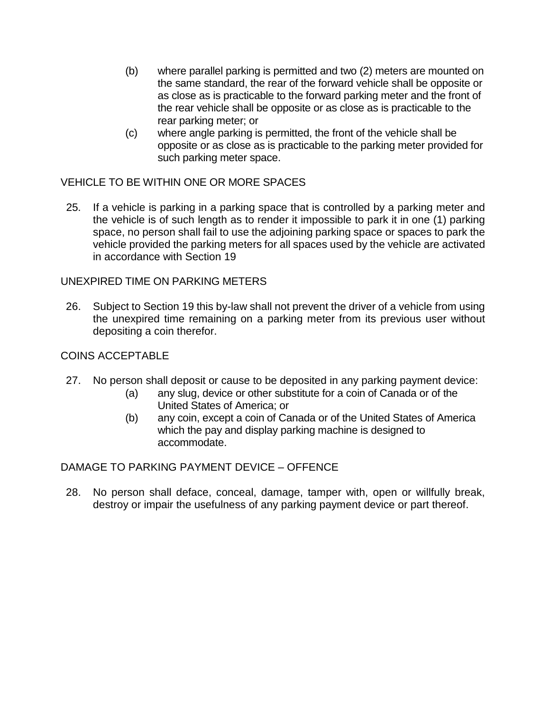- (b) where parallel parking is permitted and two (2) meters are mounted on the same standard, the rear of the forward vehicle shall be opposite or as close as is practicable to the forward parking meter and the front of the rear vehicle shall be opposite or as close as is practicable to the rear parking meter; or
- (c) where angle parking is permitted, the front of the vehicle shall be opposite or as close as is practicable to the parking meter provided for such parking meter space.

# VEHICLE TO BE WITHIN ONE OR MORE SPACES

25. If a vehicle is parking in a parking space that is controlled by a parking meter and the vehicle is of such length as to render it impossible to park it in one (1) parking space, no person shall fail to use the adjoining parking space or spaces to park the vehicle provided the parking meters for all spaces used by the vehicle are activated in accordance with Section 19

### UNEXPIRED TIME ON PARKING METERS

26. Subject to Section 19 this by-law shall not prevent the driver of a vehicle from using the unexpired time remaining on a parking meter from its previous user without depositing a coin therefor.

### COINS ACCEPTABLE

- 27. No person shall deposit or cause to be deposited in any parking payment device:
	- (a) any slug, device or other substitute for a coin of Canada or of the United States of America; or
	- (b) any coin, except a coin of Canada or of the United States of America which the pay and display parking machine is designed to accommodate.

DAMAGE TO PARKING PAYMENT DEVICE – OFFENCE

28. No person shall deface, conceal, damage, tamper with, open or willfully break, destroy or impair the usefulness of any parking payment device or part thereof.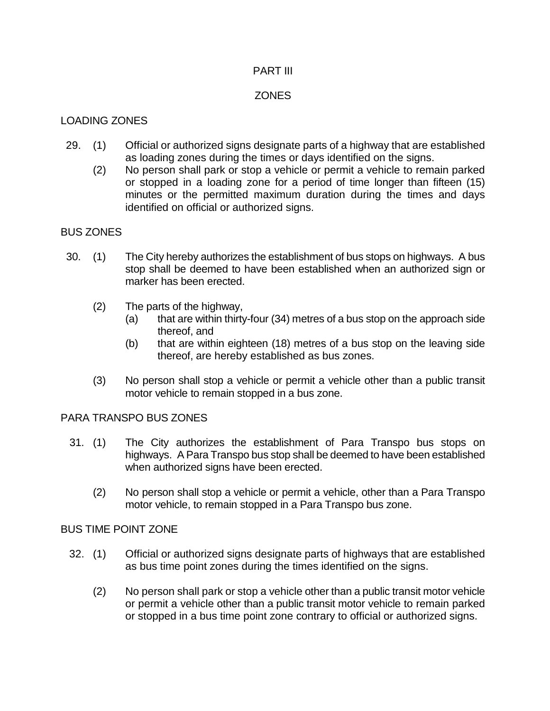#### PART III

### **ZONES**

### LOADING ZONES

- 29. (1) Official or authorized signs designate parts of a highway that are established as loading zones during the times or days identified on the signs.
	- (2) No person shall park or stop a vehicle or permit a vehicle to remain parked or stopped in a loading zone for a period of time longer than fifteen (15) minutes or the permitted maximum duration during the times and days identified on official or authorized signs.

### BUS ZONES

- 30. (1) The City hereby authorizes the establishment of bus stops on highways. A bus stop shall be deemed to have been established when an authorized sign or marker has been erected.
	- (2) The parts of the highway,
		- (a) that are within thirty-four (34) metres of a bus stop on the approach side thereof, and
		- (b) that are within eighteen (18) metres of a bus stop on the leaving side thereof, are hereby established as bus zones.
	- (3) No person shall stop a vehicle or permit a vehicle other than a public transit motor vehicle to remain stopped in a bus zone.

### PARA TRANSPO BUS ZONES

- 31. (1) The City authorizes the establishment of Para Transpo bus stops on highways. A Para Transpo bus stop shall be deemed to have been established when authorized signs have been erected.
	- (2) No person shall stop a vehicle or permit a vehicle, other than a Para Transpo motor vehicle, to remain stopped in a Para Transpo bus zone.

### BUS TIME POINT ZONE

- 32. (1) Official or authorized signs designate parts of highways that are established as bus time point zones during the times identified on the signs.
	- (2) No person shall park or stop a vehicle other than a public transit motor vehicle or permit a vehicle other than a public transit motor vehicle to remain parked or stopped in a bus time point zone contrary to official or authorized signs.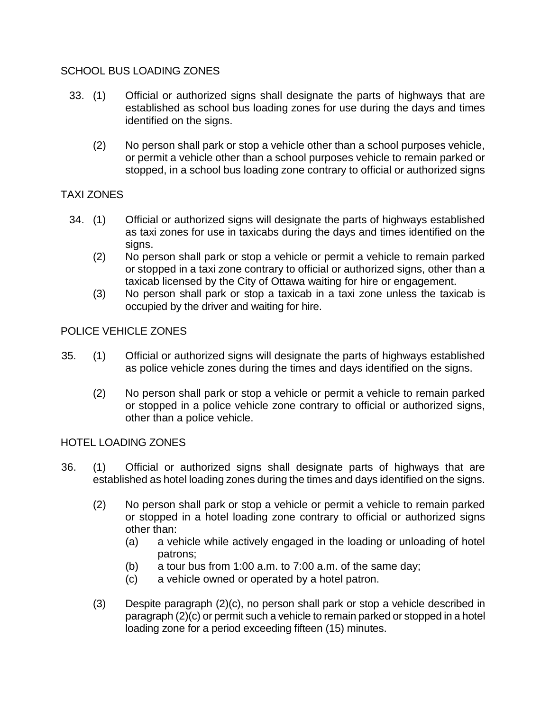## SCHOOL BUS LOADING ZONES

- 33. (1) Official or authorized signs shall designate the parts of highways that are established as school bus loading zones for use during the days and times identified on the signs.
	- (2) No person shall park or stop a vehicle other than a school purposes vehicle, or permit a vehicle other than a school purposes vehicle to remain parked or stopped, in a school bus loading zone contrary to official or authorized signs

# TAXI ZONES

- 34. (1) Official or authorized signs will designate the parts of highways established as taxi zones for use in taxicabs during the days and times identified on the signs.
	- (2) No person shall park or stop a vehicle or permit a vehicle to remain parked or stopped in a taxi zone contrary to official or authorized signs, other than a taxicab licensed by the City of Ottawa waiting for hire or engagement.
	- (3) No person shall park or stop a taxicab in a taxi zone unless the taxicab is occupied by the driver and waiting for hire.

## POLICE VEHICLE ZONES

- 35. (1) Official or authorized signs will designate the parts of highways established as police vehicle zones during the times and days identified on the signs.
	- (2) No person shall park or stop a vehicle or permit a vehicle to remain parked or stopped in a police vehicle zone contrary to official or authorized signs, other than a police vehicle.

### HOTEL LOADING ZONES

- 36. (1) Official or authorized signs shall designate parts of highways that are established as hotel loading zones during the times and days identified on the signs.
	- (2) No person shall park or stop a vehicle or permit a vehicle to remain parked or stopped in a hotel loading zone contrary to official or authorized signs other than:
		- (a) a vehicle while actively engaged in the loading or unloading of hotel patrons;
		- (b) a tour bus from 1:00 a.m. to 7:00 a.m. of the same day;
		- (c) a vehicle owned or operated by a hotel patron.
	- (3) Despite paragraph (2)(c), no person shall park or stop a vehicle described in paragraph (2)(c) or permit such a vehicle to remain parked or stopped in a hotel loading zone for a period exceeding fifteen (15) minutes.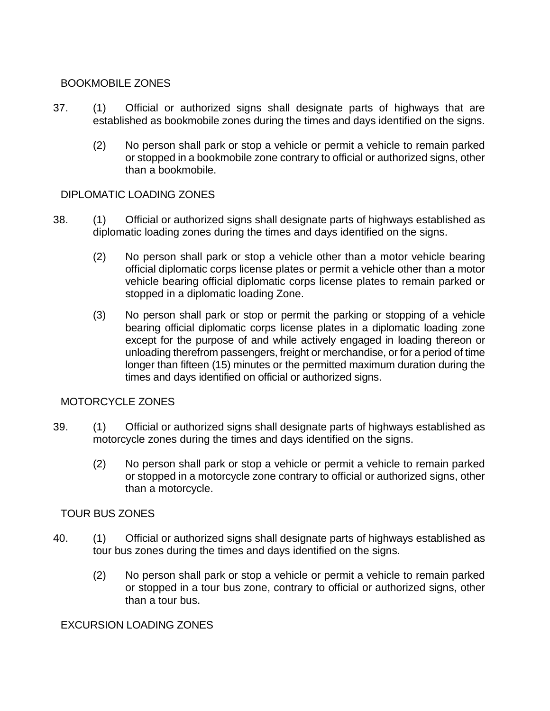### BOOKMOBILE ZONES

- 37. (1) Official or authorized signs shall designate parts of highways that are established as bookmobile zones during the times and days identified on the signs.
	- (2) No person shall park or stop a vehicle or permit a vehicle to remain parked or stopped in a bookmobile zone contrary to official or authorized signs, other than a bookmobile.

## DIPLOMATIC LOADING ZONES

- 38. (1) Official or authorized signs shall designate parts of highways established as diplomatic loading zones during the times and days identified on the signs.
	- (2) No person shall park or stop a vehicle other than a motor vehicle bearing official diplomatic corps license plates or permit a vehicle other than a motor vehicle bearing official diplomatic corps license plates to remain parked or stopped in a diplomatic loading Zone.
	- (3) No person shall park or stop or permit the parking or stopping of a vehicle bearing official diplomatic corps license plates in a diplomatic loading zone except for the purpose of and while actively engaged in loading thereon or unloading therefrom passengers, freight or merchandise, or for a period of time longer than fifteen (15) minutes or the permitted maximum duration during the times and days identified on official or authorized signs.

## MOTORCYCLE ZONES

- 39. (1) Official or authorized signs shall designate parts of highways established as motorcycle zones during the times and days identified on the signs.
	- (2) No person shall park or stop a vehicle or permit a vehicle to remain parked or stopped in a motorcycle zone contrary to official or authorized signs, other than a motorcycle.

### TOUR BUS ZONES

- 40. (1) Official or authorized signs shall designate parts of highways established as tour bus zones during the times and days identified on the signs.
	- (2) No person shall park or stop a vehicle or permit a vehicle to remain parked or stopped in a tour bus zone, contrary to official or authorized signs, other than a tour bus.

### EXCURSION LOADING ZONES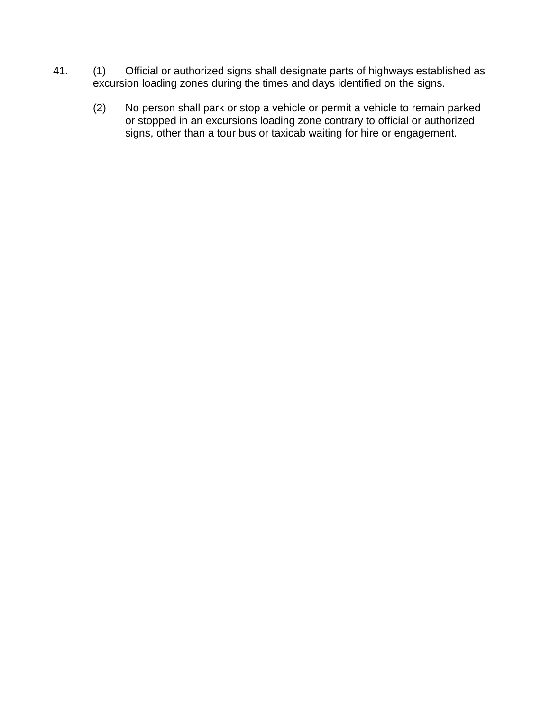- 41. (1) Official or authorized signs shall designate parts of highways established as excursion loading zones during the times and days identified on the signs.
	- (2) No person shall park or stop a vehicle or permit a vehicle to remain parked or stopped in an excursions loading zone contrary to official or authorized signs, other than a tour bus or taxicab waiting for hire or engagement.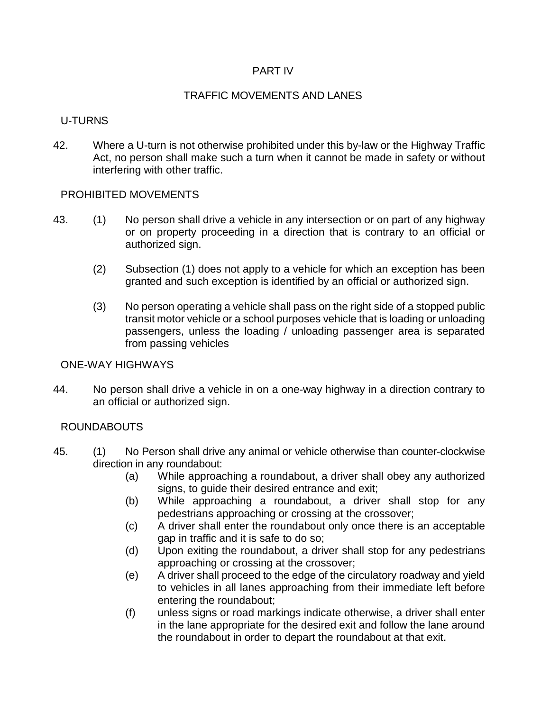### PART IV

# TRAFFIC MOVEMENTS AND LANES

# U-TURNS

42. Where a U-turn is not otherwise prohibited under this by-law or the Highway Traffic Act, no person shall make such a turn when it cannot be made in safety or without interfering with other traffic.

# PROHIBITED MOVEMENTS

- 43. (1) No person shall drive a vehicle in any intersection or on part of any highway or on property proceeding in a direction that is contrary to an official or authorized sign.
	- (2) Subsection (1) does not apply to a vehicle for which an exception has been granted and such exception is identified by an official or authorized sign.
	- (3) No person operating a vehicle shall pass on the right side of a stopped public transit motor vehicle or a school purposes vehicle that is loading or unloading passengers, unless the loading / unloading passenger area is separated from passing vehicles

### ONE-WAY HIGHWAYS

44. No person shall drive a vehicle in on a one-way highway in a direction contrary to an official or authorized sign.

# ROUNDABOUTS

- 45. (1) No Person shall drive any animal or vehicle otherwise than counter-clockwise direction in any roundabout:
	- (a) While approaching a roundabout, a driver shall obey any authorized signs, to guide their desired entrance and exit;
	- (b) While approaching a roundabout, a driver shall stop for any pedestrians approaching or crossing at the crossover;
	- (c) A driver shall enter the roundabout only once there is an acceptable gap in traffic and it is safe to do so;
	- (d) Upon exiting the roundabout, a driver shall stop for any pedestrians approaching or crossing at the crossover;
	- (e) A driver shall proceed to the edge of the circulatory roadway and yield to vehicles in all lanes approaching from their immediate left before entering the roundabout;
	- (f) unless signs or road markings indicate otherwise, a driver shall enter in the lane appropriate for the desired exit and follow the lane around the roundabout in order to depart the roundabout at that exit.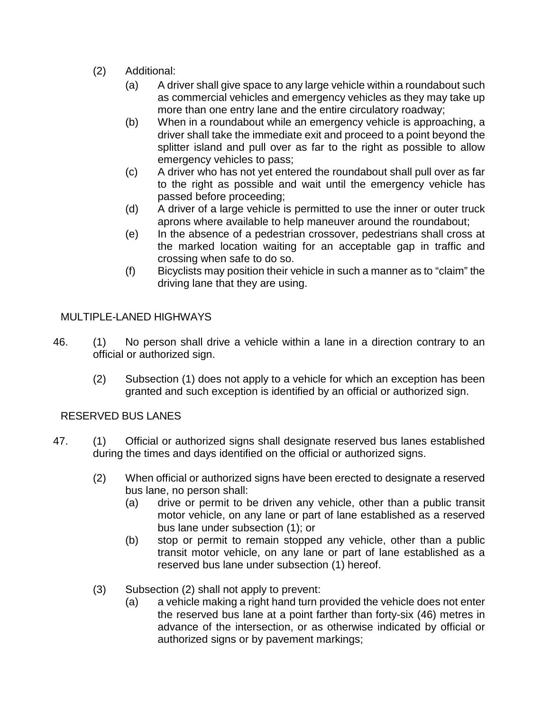- (2) Additional:
	- (a) A driver shall give space to any large vehicle within a roundabout such as commercial vehicles and emergency vehicles as they may take up more than one entry lane and the entire circulatory roadway;
	- (b) When in a roundabout while an emergency vehicle is approaching, a driver shall take the immediate exit and proceed to a point beyond the splitter island and pull over as far to the right as possible to allow emergency vehicles to pass;
	- (c) A driver who has not yet entered the roundabout shall pull over as far to the right as possible and wait until the emergency vehicle has passed before proceeding;
	- (d) A driver of a large vehicle is permitted to use the inner or outer truck aprons where available to help maneuver around the roundabout;
	- (e) In the absence of a pedestrian crossover, pedestrians shall cross at the marked location waiting for an acceptable gap in traffic and crossing when safe to do so.
	- (f) Bicyclists may position their vehicle in such a manner as to "claim" the driving lane that they are using.

# MULTIPLE-LANED HIGHWAYS

- 46. (1) No person shall drive a vehicle within a lane in a direction contrary to an official or authorized sign.
	- (2) Subsection (1) does not apply to a vehicle for which an exception has been granted and such exception is identified by an official or authorized sign.

# RESERVED BUS LANES

- 47. (1) Official or authorized signs shall designate reserved bus lanes established during the times and days identified on the official or authorized signs.
	- (2) When official or authorized signs have been erected to designate a reserved bus lane, no person shall:
		- (a) drive or permit to be driven any vehicle, other than a public transit motor vehicle, on any lane or part of lane established as a reserved bus lane under subsection (1); or
		- (b) stop or permit to remain stopped any vehicle, other than a public transit motor vehicle, on any lane or part of lane established as a reserved bus lane under subsection (1) hereof.
	- (3) Subsection (2) shall not apply to prevent:
		- (a) a vehicle making a right hand turn provided the vehicle does not enter the reserved bus lane at a point farther than forty-six (46) metres in advance of the intersection, or as otherwise indicated by official or authorized signs or by pavement markings;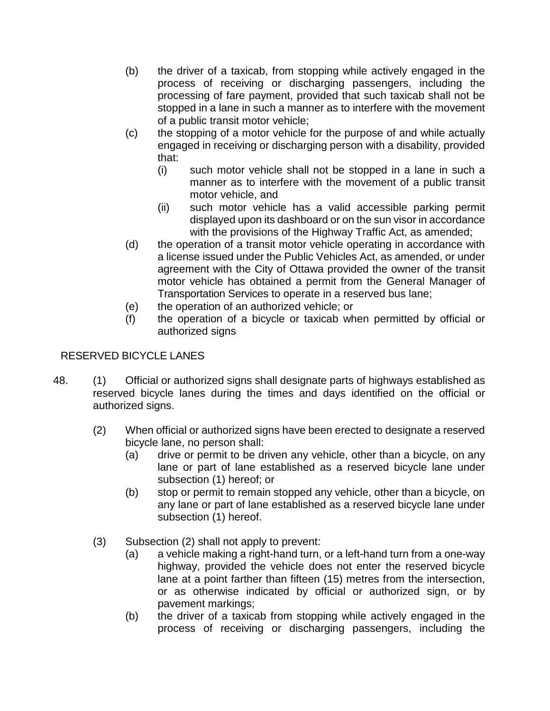- (b) the driver of a taxicab, from stopping while actively engaged in the process of receiving or discharging passengers, including the processing of fare payment, provided that such taxicab shall not be stopped in a lane in such a manner as to interfere with the movement of a public transit motor vehicle;
- (c) the stopping of a motor vehicle for the purpose of and while actually engaged in receiving or discharging person with a disability, provided that:
	- (i) such motor vehicle shall not be stopped in a lane in such a manner as to interfere with the movement of a public transit motor vehicle, and
	- (ii) such motor vehicle has a valid accessible parking permit displayed upon its dashboard or on the sun visor in accordance with the provisions of the Highway Traffic Act, as amended;
- (d) the operation of a transit motor vehicle operating in accordance with a license issued under the Public Vehicles Act, as amended, or under agreement with the City of Ottawa provided the owner of the transit motor vehicle has obtained a permit from the General Manager of Transportation Services to operate in a reserved bus lane;
- (e) the operation of an authorized vehicle; or
- (f) the operation of a bicycle or taxicab when permitted by official or authorized signs

# RESERVED BICYCLE LANES

- 48. (1) Official or authorized signs shall designate parts of highways established as reserved bicycle lanes during the times and days identified on the official or authorized signs.
	- (2) When official or authorized signs have been erected to designate a reserved bicycle lane, no person shall:
		- (a) drive or permit to be driven any vehicle, other than a bicycle, on any lane or part of lane established as a reserved bicycle lane under subsection (1) hereof; or
		- (b) stop or permit to remain stopped any vehicle, other than a bicycle, on any lane or part of lane established as a reserved bicycle lane under subsection (1) hereof.
	- (3) Subsection (2) shall not apply to prevent:
		- (a) a vehicle making a right-hand turn, or a left-hand turn from a one-way highway, provided the vehicle does not enter the reserved bicycle lane at a point farther than fifteen (15) metres from the intersection, or as otherwise indicated by official or authorized sign, or by pavement markings;
		- (b) the driver of a taxicab from stopping while actively engaged in the process of receiving or discharging passengers, including the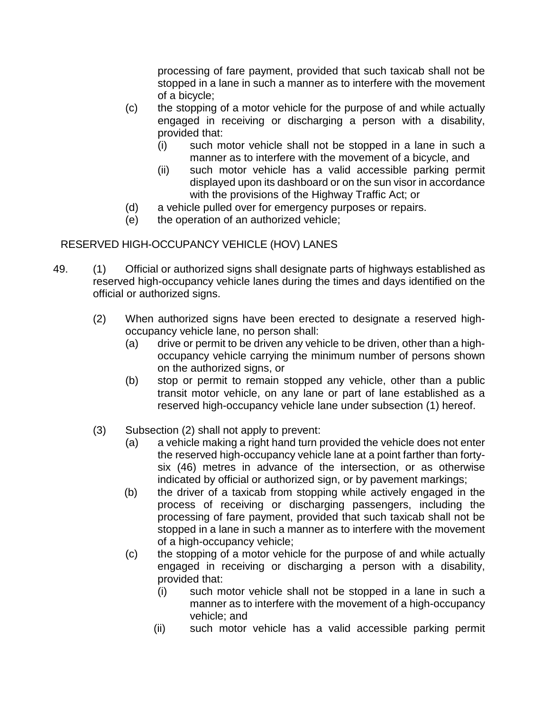processing of fare payment, provided that such taxicab shall not be stopped in a lane in such a manner as to interfere with the movement of a bicycle;

- (c) the stopping of a motor vehicle for the purpose of and while actually engaged in receiving or discharging a person with a disability, provided that:
	- (i) such motor vehicle shall not be stopped in a lane in such a manner as to interfere with the movement of a bicycle, and
	- (ii) such motor vehicle has a valid accessible parking permit displayed upon its dashboard or on the sun visor in accordance with the provisions of the Highway Traffic Act; or
- (d) a vehicle pulled over for emergency purposes or repairs.<br>(e) the operation of an authorized vehicle;
- the operation of an authorized vehicle;

# RESERVED HIGH-OCCUPANCY VEHICLE (HOV) LANES

- 49. (1) Official or authorized signs shall designate parts of highways established as reserved high-occupancy vehicle lanes during the times and days identified on the official or authorized signs.
	- (2) When authorized signs have been erected to designate a reserved highoccupancy vehicle lane, no person shall:
		- (a) drive or permit to be driven any vehicle to be driven, other than a highoccupancy vehicle carrying the minimum number of persons shown on the authorized signs, or
		- (b) stop or permit to remain stopped any vehicle, other than a public transit motor vehicle, on any lane or part of lane established as a reserved high-occupancy vehicle lane under subsection (1) hereof.
	- (3) Subsection (2) shall not apply to prevent:
		- (a) a vehicle making a right hand turn provided the vehicle does not enter the reserved high-occupancy vehicle lane at a point farther than fortysix (46) metres in advance of the intersection, or as otherwise indicated by official or authorized sign, or by pavement markings;
		- (b) the driver of a taxicab from stopping while actively engaged in the process of receiving or discharging passengers, including the processing of fare payment, provided that such taxicab shall not be stopped in a lane in such a manner as to interfere with the movement of a high-occupancy vehicle;
		- (c) the stopping of a motor vehicle for the purpose of and while actually engaged in receiving or discharging a person with a disability, provided that:
			- (i) such motor vehicle shall not be stopped in a lane in such a manner as to interfere with the movement of a high-occupancy vehicle; and
			- (ii) such motor vehicle has a valid accessible parking permit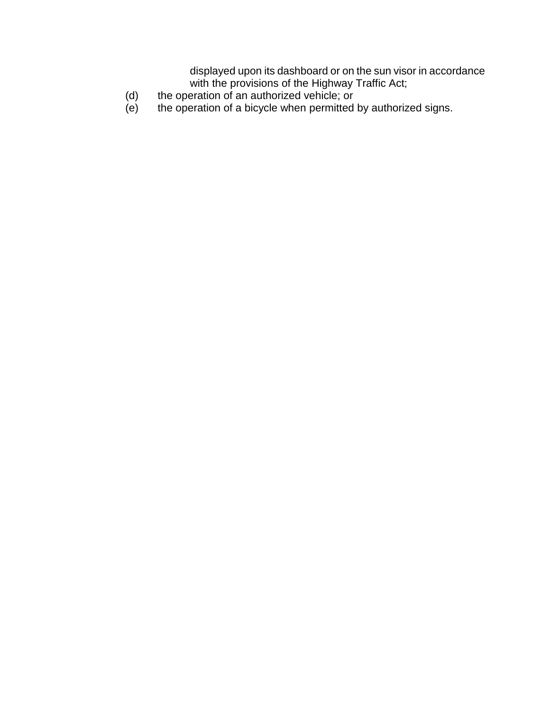displayed upon its dashboard or on the sun visor in accordance with the provisions of the Highway Traffic Act;

- (d) the operation of an authorized vehicle; or
- (e) the operation of a bicycle when permitted by authorized signs.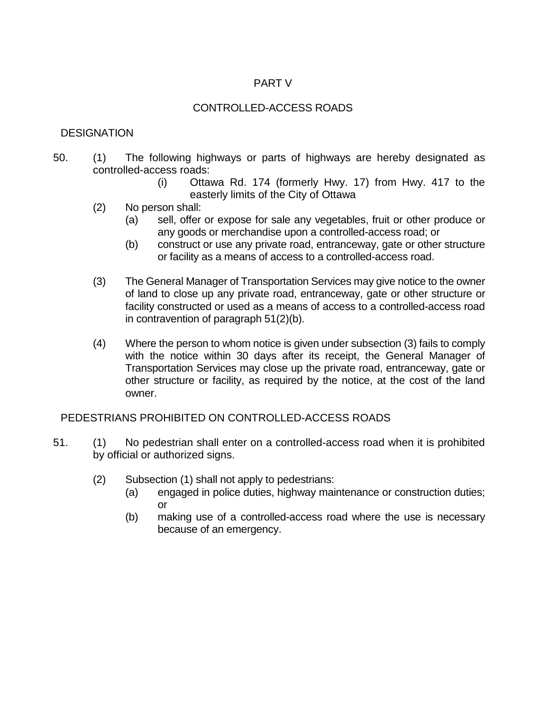# PART V

# CONTROLLED-ACCESS ROADS

# **DESIGNATION**

- 50. (1) The following highways or parts of highways are hereby designated as controlled-access roads:
	- (i) Ottawa Rd. 174 (formerly Hwy. 17) from Hwy. 417 to the easterly limits of the City of Ottawa
	- (2) No person shall:
		- (a) sell, offer or expose for sale any vegetables, fruit or other produce or any goods or merchandise upon a controlled-access road; or
		- (b) construct or use any private road, entranceway, gate or other structure or facility as a means of access to a controlled-access road.
	- (3) The General Manager of Transportation Services may give notice to the owner of land to close up any private road, entranceway, gate or other structure or facility constructed or used as a means of access to a controlled-access road in contravention of paragraph 51(2)(b).
	- (4) Where the person to whom notice is given under subsection (3) fails to comply with the notice within 30 days after its receipt, the General Manager of Transportation Services may close up the private road, entranceway, gate or other structure or facility, as required by the notice, at the cost of the land owner.

### PEDESTRIANS PROHIBITED ON CONTROLLED-ACCESS ROADS

- 51. (1) No pedestrian shall enter on a controlled-access road when it is prohibited by official or authorized signs.
	- (2) Subsection (1) shall not apply to pedestrians:
		- (a) engaged in police duties, highway maintenance or construction duties; or
		- (b) making use of a controlled-access road where the use is necessary because of an emergency.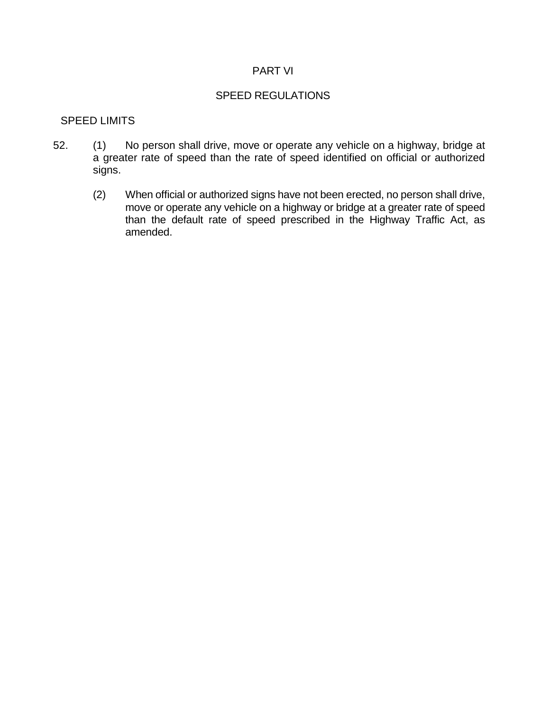#### PART VI

#### SPEED REGULATIONS

#### SPEED LIMITS

- 52. (1) No person shall drive, move or operate any vehicle on a highway, bridge at a greater rate of speed than the rate of speed identified on official or authorized signs.
	- (2) When official or authorized signs have not been erected, no person shall drive, move or operate any vehicle on a highway or bridge at a greater rate of speed than the default rate of speed prescribed in the Highway Traffic Act, as amended.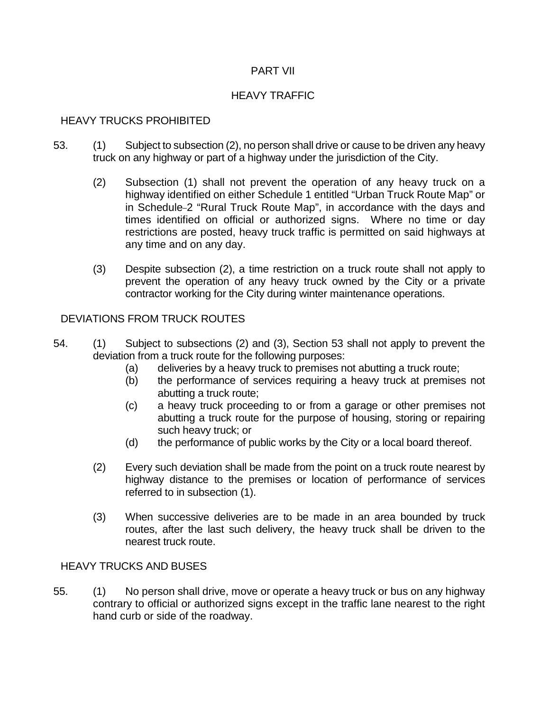## PART VII

## HEAVY TRAFFIC

## HEAVY TRUCKS PROHIBITED

- 53. (1) Subject to subsection (2), no person shall drive or cause to be driven any heavy truck on any highway or part of a highway under the jurisdiction of the City.
	- (2) Subsection (1) shall not prevent the operation of any heavy truck on a highway identified on either Schedule 1 entitled "Urban Truck Route Map" or in Schedule-2 "Rural Truck Route Map", in accordance with the days and times identified on official or authorized signs. Where no time or day restrictions are posted, heavy truck traffic is permitted on said highways at any time and on any day.
	- (3) Despite subsection (2), a time restriction on a truck route shall not apply to prevent the operation of any heavy truck owned by the City or a private contractor working for the City during winter maintenance operations.

## DEVIATIONS FROM TRUCK ROUTES

- 54. (1) Subject to subsections (2) and (3), Section 53 shall not apply to prevent the deviation from a truck route for the following purposes:
	- (a) deliveries by a heavy truck to premises not abutting a truck route;
	- (b) the performance of services requiring a heavy truck at premises not abutting a truck route;
	- (c) a heavy truck proceeding to or from a garage or other premises not abutting a truck route for the purpose of housing, storing or repairing such heavy truck; or
	- (d) the performance of public works by the City or a local board thereof.
	- (2) Every such deviation shall be made from the point on a truck route nearest by highway distance to the premises or location of performance of services referred to in subsection (1).
	- (3) When successive deliveries are to be made in an area bounded by truck routes, after the last such delivery, the heavy truck shall be driven to the nearest truck route.

### HEAVY TRUCKS AND BUSES

55. (1) No person shall drive, move or operate a heavy truck or bus on any highway contrary to official or authorized signs except in the traffic lane nearest to the right hand curb or side of the roadway.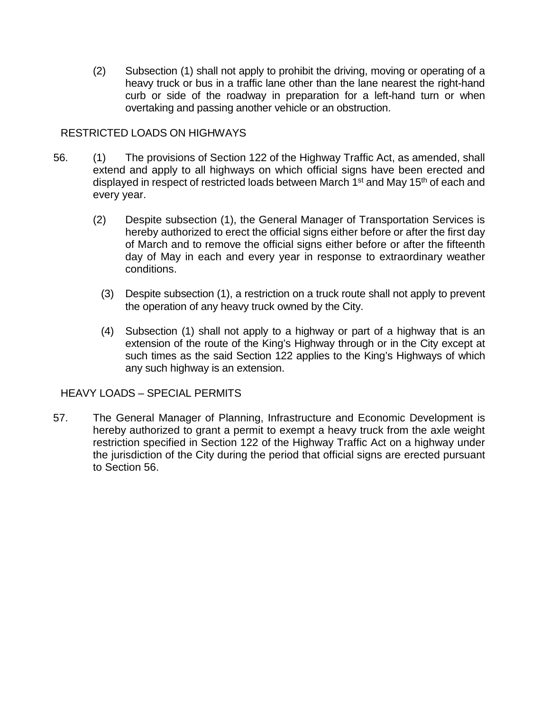(2) Subsection (1) shall not apply to prohibit the driving, moving or operating of a heavy truck or bus in a traffic lane other than the lane nearest the right-hand curb or side of the roadway in preparation for a left-hand turn or when overtaking and passing another vehicle or an obstruction.

### RESTRICTED LOADS ON HIGHWAYS

- 56. (1) The provisions of Section 122 of the Highway Traffic Act, as amended, shall extend and apply to all highways on which official signs have been erected and displayed in respect of restricted loads between March 1<sup>st</sup> and May 15<sup>th</sup> of each and every year.
	- (2) Despite subsection (1), the General Manager of Transportation Services is hereby authorized to erect the official signs either before or after the first day of March and to remove the official signs either before or after the fifteenth day of May in each and every year in response to extraordinary weather conditions.
		- (3) Despite subsection (1), a restriction on a truck route shall not apply to prevent the operation of any heavy truck owned by the City.
		- (4) Subsection (1) shall not apply to a highway or part of a highway that is an extension of the route of the King's Highway through or in the City except at such times as the said Section 122 applies to the King's Highways of which any such highway is an extension.

HEAVY LOADS – SPECIAL PERMITS

57. The General Manager of Planning, Infrastructure and Economic Development is hereby authorized to grant a permit to exempt a heavy truck from the axle weight restriction specified in Section 122 of the Highway Traffic Act on a highway under the jurisdiction of the City during the period that official signs are erected pursuant to Section 56.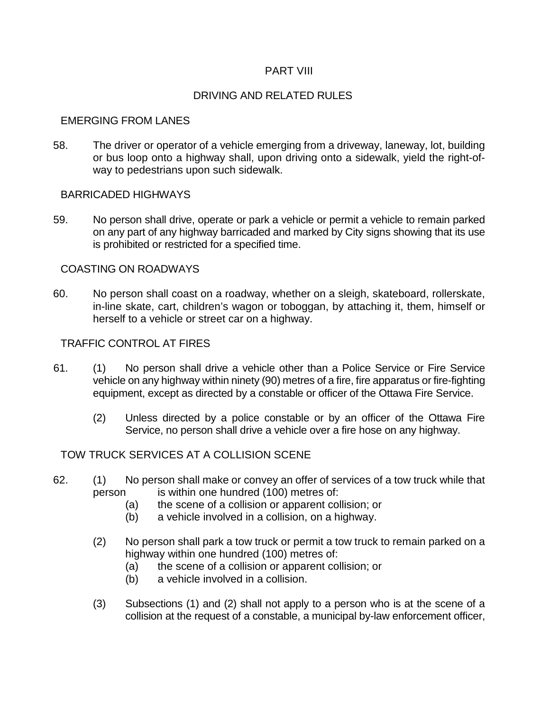#### PART VIII

#### DRIVING AND RELATED RULES

#### EMERGING FROM LANES

58. The driver or operator of a vehicle emerging from a driveway, laneway, lot, building or bus loop onto a highway shall, upon driving onto a sidewalk, yield the right-ofway to pedestrians upon such sidewalk.

#### BARRICADED HIGHWAYS

59. No person shall drive, operate or park a vehicle or permit a vehicle to remain parked on any part of any highway barricaded and marked by City signs showing that its use is prohibited or restricted for a specified time.

#### COASTING ON ROADWAYS

60. No person shall coast on a roadway, whether on a sleigh, skateboard, rollerskate, in-line skate, cart, children's wagon or toboggan, by attaching it, them, himself or herself to a vehicle or street car on a highway.

#### TRAFFIC CONTROL AT FIRES

- 61. (1) No person shall drive a vehicle other than a Police Service or Fire Service vehicle on any highway within ninety (90) metres of a fire, fire apparatus or fire-fighting equipment, except as directed by a constable or officer of the Ottawa Fire Service.
	- (2) Unless directed by a police constable or by an officer of the Ottawa Fire Service, no person shall drive a vehicle over a fire hose on any highway.

### TOW TRUCK SERVICES AT A COLLISION SCENE

- 62. (1) No person shall make or convey an offer of services of a tow truck while that person is within one hundred (100) metres of:
	- (a) the scene of a collision or apparent collision; or
	- (b) a vehicle involved in a collision, on a highway.
	- (2) No person shall park a tow truck or permit a tow truck to remain parked on a highway within one hundred (100) metres of:
		- (a) the scene of a collision or apparent collision; or
		- (b) a vehicle involved in a collision.
	- (3) Subsections (1) and (2) shall not apply to a person who is at the scene of a collision at the request of a constable, a municipal by-law enforcement officer,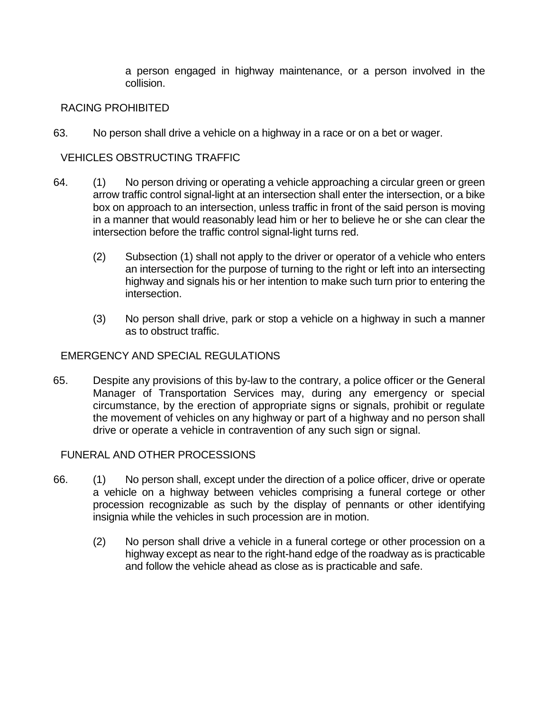a person engaged in highway maintenance, or a person involved in the collision.

### RACING PROHIBITED

63. No person shall drive a vehicle on a highway in a race or on a bet or wager.

## VEHICLES OBSTRUCTING TRAFFIC

- 64. (1) No person driving or operating a vehicle approaching a circular green or green arrow traffic control signal-light at an intersection shall enter the intersection, or a bike box on approach to an intersection, unless traffic in front of the said person is moving in a manner that would reasonably lead him or her to believe he or she can clear the intersection before the traffic control signal-light turns red.
	- (2) Subsection (1) shall not apply to the driver or operator of a vehicle who enters an intersection for the purpose of turning to the right or left into an intersecting highway and signals his or her intention to make such turn prior to entering the intersection.
	- (3) No person shall drive, park or stop a vehicle on a highway in such a manner as to obstruct traffic.

### EMERGENCY AND SPECIAL REGULATIONS

65. Despite any provisions of this by-law to the contrary, a police officer or the General Manager of Transportation Services may, during any emergency or special circumstance, by the erection of appropriate signs or signals, prohibit or regulate the movement of vehicles on any highway or part of a highway and no person shall drive or operate a vehicle in contravention of any such sign or signal.

### FUNERAL AND OTHER PROCESSIONS

- 66. (1) No person shall, except under the direction of a police officer, drive or operate a vehicle on a highway between vehicles comprising a funeral cortege or other procession recognizable as such by the display of pennants or other identifying insignia while the vehicles in such procession are in motion.
	- (2) No person shall drive a vehicle in a funeral cortege or other procession on a highway except as near to the right-hand edge of the roadway as is practicable and follow the vehicle ahead as close as is practicable and safe.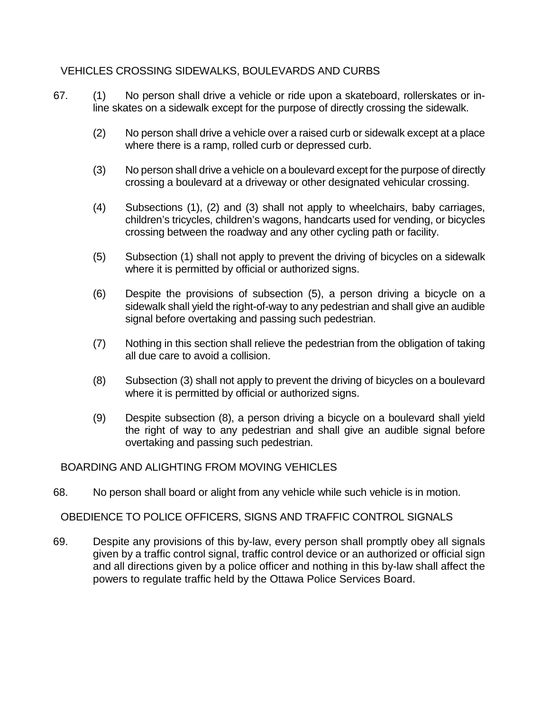# VEHICLES CROSSING SIDEWALKS, BOULEVARDS AND CURBS

- 67. (1) No person shall drive a vehicle or ride upon a skateboard, rollerskates or inline skates on a sidewalk except for the purpose of directly crossing the sidewalk.
	- (2) No person shall drive a vehicle over a raised curb or sidewalk except at a place where there is a ramp, rolled curb or depressed curb.
	- (3) No person shall drive a vehicle on a boulevard except for the purpose of directly crossing a boulevard at a driveway or other designated vehicular crossing.
	- (4) Subsections (1), (2) and (3) shall not apply to wheelchairs, baby carriages, children's tricycles, children's wagons, handcarts used for vending, or bicycles crossing between the roadway and any other cycling path or facility.
	- (5) Subsection (1) shall not apply to prevent the driving of bicycles on a sidewalk where it is permitted by official or authorized signs.
	- (6) Despite the provisions of subsection (5), a person driving a bicycle on a sidewalk shall yield the right-of-way to any pedestrian and shall give an audible signal before overtaking and passing such pedestrian.
	- (7) Nothing in this section shall relieve the pedestrian from the obligation of taking all due care to avoid a collision.
	- (8) Subsection (3) shall not apply to prevent the driving of bicycles on a boulevard where it is permitted by official or authorized signs.
	- (9) Despite subsection (8), a person driving a bicycle on a boulevard shall yield the right of way to any pedestrian and shall give an audible signal before overtaking and passing such pedestrian.

### BOARDING AND ALIGHTING FROM MOVING VEHICLES

68. No person shall board or alight from any vehicle while such vehicle is in motion.

### OBEDIENCE TO POLICE OFFICERS, SIGNS AND TRAFFIC CONTROL SIGNALS

69. Despite any provisions of this by-law, every person shall promptly obey all signals given by a traffic control signal, traffic control device or an authorized or official sign and all directions given by a police officer and nothing in this by-law shall affect the powers to regulate traffic held by the Ottawa Police Services Board.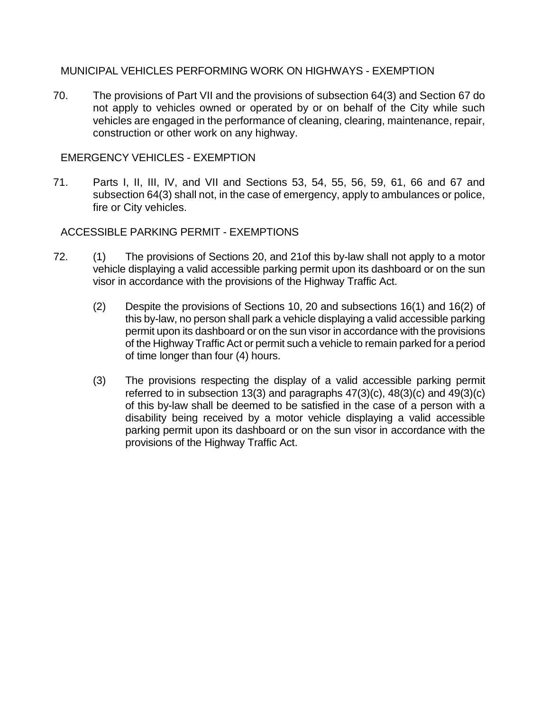### MUNICIPAL VEHICLES PERFORMING WORK ON HIGHWAYS - EXEMPTION

70. The provisions of Part VII and the provisions of subsection 64(3) and Section 67 do not apply to vehicles owned or operated by or on behalf of the City while such vehicles are engaged in the performance of cleaning, clearing, maintenance, repair, construction or other work on any highway.

## EMERGENCY VEHICLES - EXEMPTION

71. Parts I, II, III, IV, and VII and Sections 53, 54, 55, 56, 59, 61, 66 and 67 and subsection 64(3) shall not, in the case of emergency, apply to ambulances or police, fire or City vehicles.

## ACCESSIBLE PARKING PERMIT - EXEMPTIONS

- 72. (1) The provisions of Sections 20, and 21of this by-law shall not apply to a motor vehicle displaying a valid accessible parking permit upon its dashboard or on the sun visor in accordance with the provisions of the Highway Traffic Act.
	- (2) Despite the provisions of Sections 10, 20 and subsections 16(1) and 16(2) of this by-law, no person shall park a vehicle displaying a valid accessible parking permit upon its dashboard or on the sun visor in accordance with the provisions of the Highway Traffic Act or permit such a vehicle to remain parked for a period of time longer than four (4) hours.
	- (3) The provisions respecting the display of a valid accessible parking permit referred to in subsection 13(3) and paragraphs 47(3)(c), 48(3)(c) and 49(3)(c) of this by-law shall be deemed to be satisfied in the case of a person with a disability being received by a motor vehicle displaying a valid accessible parking permit upon its dashboard or on the sun visor in accordance with the provisions of the Highway Traffic Act.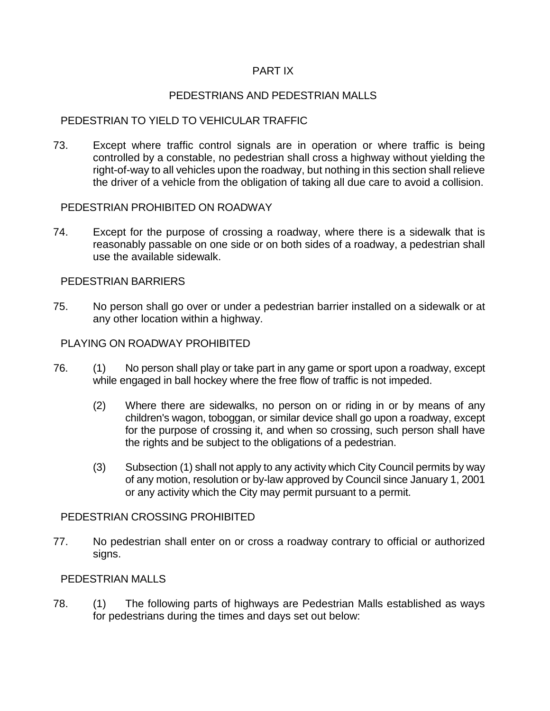### PART IX

### PEDESTRIANS AND PEDESTRIAN MALLS

## PEDESTRIAN TO YIELD TO VEHICULAR TRAFFIC

73. Except where traffic control signals are in operation or where traffic is being controlled by a constable, no pedestrian shall cross a highway without yielding the right-of-way to all vehicles upon the roadway, but nothing in this section shall relieve the driver of a vehicle from the obligation of taking all due care to avoid a collision.

### PEDESTRIAN PROHIBITED ON ROADWAY

74. Except for the purpose of crossing a roadway, where there is a sidewalk that is reasonably passable on one side or on both sides of a roadway, a pedestrian shall use the available sidewalk.

#### PEDESTRIAN BARRIERS

75. No person shall go over or under a pedestrian barrier installed on a sidewalk or at any other location within a highway.

#### PLAYING ON ROADWAY PROHIBITED

- 76. (1) No person shall play or take part in any game or sport upon a roadway, except while engaged in ball hockey where the free flow of traffic is not impeded.
	- (2) Where there are sidewalks, no person on or riding in or by means of any children's wagon, toboggan, or similar device shall go upon a roadway, except for the purpose of crossing it, and when so crossing, such person shall have the rights and be subject to the obligations of a pedestrian.
	- (3) Subsection (1) shall not apply to any activity which City Council permits by way of any motion, resolution or by-law approved by Council since January 1, 2001 or any activity which the City may permit pursuant to a permit.

#### PEDESTRIAN CROSSING PROHIBITED

77. No pedestrian shall enter on or cross a roadway contrary to official or authorized signs.

#### PEDESTRIAN MALLS

78. (1) The following parts of highways are Pedestrian Malls established as ways for pedestrians during the times and days set out below: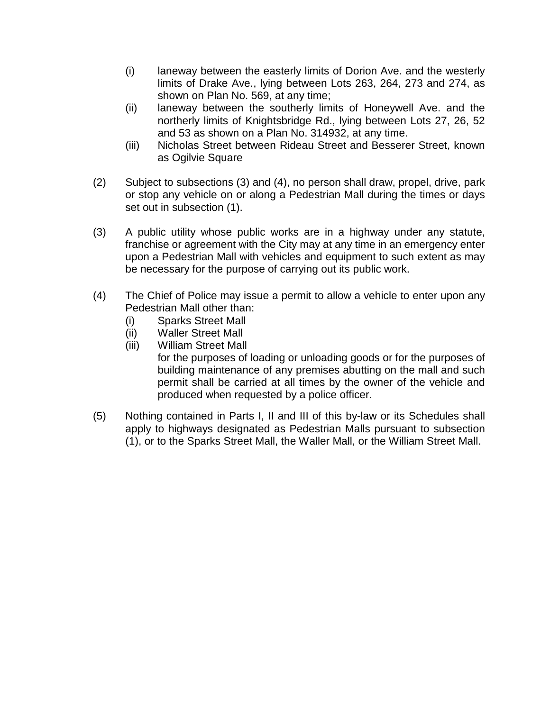- (i) laneway between the easterly limits of Dorion Ave. and the westerly limits of Drake Ave., lying between Lots 263, 264, 273 and 274, as shown on Plan No. 569, at any time;
- (ii) laneway between the southerly limits of Honeywell Ave. and the northerly limits of Knightsbridge Rd., lying between Lots 27, 26, 52 and 53 as shown on a Plan No. 314932, at any time.
- (iii) Nicholas Street between Rideau Street and Besserer Street, known as Ogilvie Square
- (2) Subject to subsections (3) and (4), no person shall draw, propel, drive, park or stop any vehicle on or along a Pedestrian Mall during the times or days set out in subsection (1).
- (3) A public utility whose public works are in a highway under any statute, franchise or agreement with the City may at any time in an emergency enter upon a Pedestrian Mall with vehicles and equipment to such extent as may be necessary for the purpose of carrying out its public work.
- (4) The Chief of Police may issue a permit to allow a vehicle to enter upon any Pedestrian Mall other than:
	- (i) Sparks Street Mall
	- (ii) Waller Street Mall
	- (iii) William Street Mall

for the purposes of loading or unloading goods or for the purposes of building maintenance of any premises abutting on the mall and such permit shall be carried at all times by the owner of the vehicle and produced when requested by a police officer.

(5) Nothing contained in Parts I, II and III of this by-law or its Schedules shall apply to highways designated as Pedestrian Malls pursuant to subsection (1), or to the Sparks Street Mall, the Waller Mall, or the William Street Mall.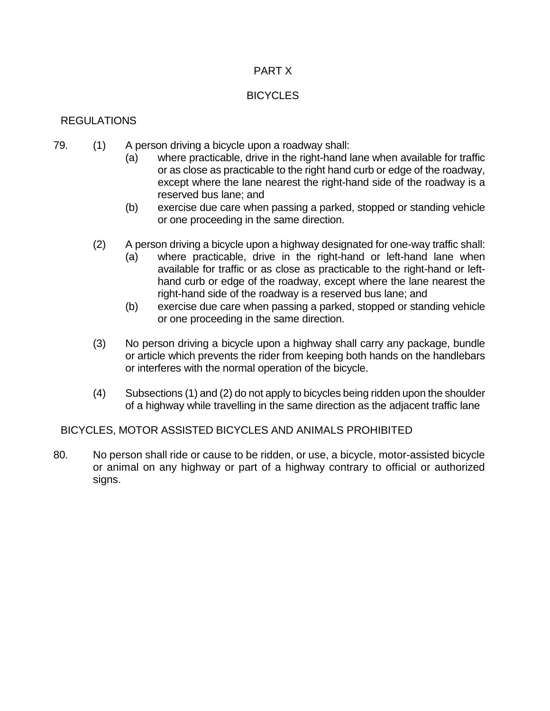### PART X

## **BICYCLES**

# REGULATIONS

- 79. (1) A person driving a bicycle upon a roadway shall:
	- (a) where practicable, drive in the right-hand lane when available for traffic or as close as practicable to the right hand curb or edge of the roadway, except where the lane nearest the right-hand side of the roadway is a reserved bus lane; and
	- (b) exercise due care when passing a parked, stopped or standing vehicle or one proceeding in the same direction.
	- (2) A person driving a bicycle upon a highway designated for one-way traffic shall:
		- (a) where practicable, drive in the right-hand or left-hand lane when available for traffic or as close as practicable to the right-hand or lefthand curb or edge of the roadway, except where the lane nearest the right-hand side of the roadway is a reserved bus lane; and
		- (b) exercise due care when passing a parked, stopped or standing vehicle or one proceeding in the same direction.
	- (3) No person driving a bicycle upon a highway shall carry any package, bundle or article which prevents the rider from keeping both hands on the handlebars or interferes with the normal operation of the bicycle.
	- (4) Subsections (1) and (2) do not apply to bicycles being ridden upon the shoulder of a highway while travelling in the same direction as the adjacent traffic lane

BICYCLES, MOTOR ASSISTED BICYCLES AND ANIMALS PROHIBITED

80. No person shall ride or cause to be ridden, or use, a bicycle, motor-assisted bicycle or animal on any highway or part of a highway contrary to official or authorized signs.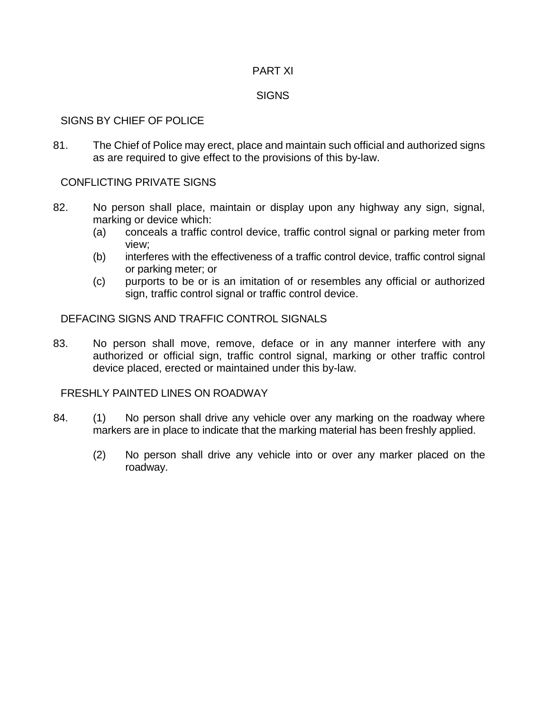#### PART XI

#### **SIGNS**

### SIGNS BY CHIEF OF POLICE

81. The Chief of Police may erect, place and maintain such official and authorized signs as are required to give effect to the provisions of this by-law.

### CONFLICTING PRIVATE SIGNS

- 82. No person shall place, maintain or display upon any highway any sign, signal, marking or device which:
	- (a) conceals a traffic control device, traffic control signal or parking meter from view;
	- (b) interferes with the effectiveness of a traffic control device, traffic control signal or parking meter; or
	- (c) purports to be or is an imitation of or resembles any official or authorized sign, traffic control signal or traffic control device.

### DEFACING SIGNS AND TRAFFIC CONTROL SIGNALS

83. No person shall move, remove, deface or in any manner interfere with any authorized or official sign, traffic control signal, marking or other traffic control device placed, erected or maintained under this by-law.

### FRESHLY PAINTED LINES ON ROADWAY

- 84. (1) No person shall drive any vehicle over any marking on the roadway where markers are in place to indicate that the marking material has been freshly applied.
	- (2) No person shall drive any vehicle into or over any marker placed on the roadway.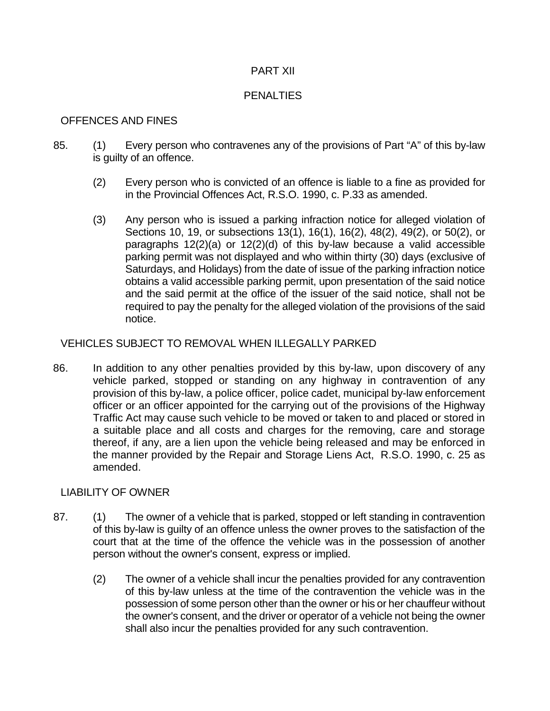### PART XII

### **PENALTIES**

### OFFENCES AND FINES

- 85. (1) Every person who contravenes any of the provisions of Part "A" of this by-law is guilty of an offence.
	- (2) Every person who is convicted of an offence is liable to a fine as provided for in the Provincial Offences Act, R.S.O. 1990, c. P.33 as amended.
	- (3) Any person who is issued a parking infraction notice for alleged violation of Sections 10, 19, or subsections 13(1), 16(1), 16(2), 48(2), 49(2), or 50(2), or paragraphs 12(2)(a) or 12(2)(d) of this by-law because a valid accessible parking permit was not displayed and who within thirty (30) days (exclusive of Saturdays, and Holidays) from the date of issue of the parking infraction notice obtains a valid accessible parking permit, upon presentation of the said notice and the said permit at the office of the issuer of the said notice, shall not be required to pay the penalty for the alleged violation of the provisions of the said notice.

### VEHICLES SUBJECT TO REMOVAL WHEN ILLEGALLY PARKED

86. In addition to any other penalties provided by this by-law, upon discovery of any vehicle parked, stopped or standing on any highway in contravention of any provision of this by-law, a police officer, police cadet, municipal by-law enforcement officer or an officer appointed for the carrying out of the provisions of the Highway Traffic Act may cause such vehicle to be moved or taken to and placed or stored in a suitable place and all costs and charges for the removing, care and storage thereof, if any, are a lien upon the vehicle being released and may be enforced in the manner provided by the Repair and Storage Liens Act, R.S.O. 1990, c. 25 as amended.

### LIABILITY OF OWNER

- 87. (1) The owner of a vehicle that is parked, stopped or left standing in contravention of this by-law is guilty of an offence unless the owner proves to the satisfaction of the court that at the time of the offence the vehicle was in the possession of another person without the owner's consent, express or implied.
	- (2) The owner of a vehicle shall incur the penalties provided for any contravention of this by-law unless at the time of the contravention the vehicle was in the possession of some person other than the owner or his or her chauffeur without the owner's consent, and the driver or operator of a vehicle not being the owner shall also incur the penalties provided for any such contravention.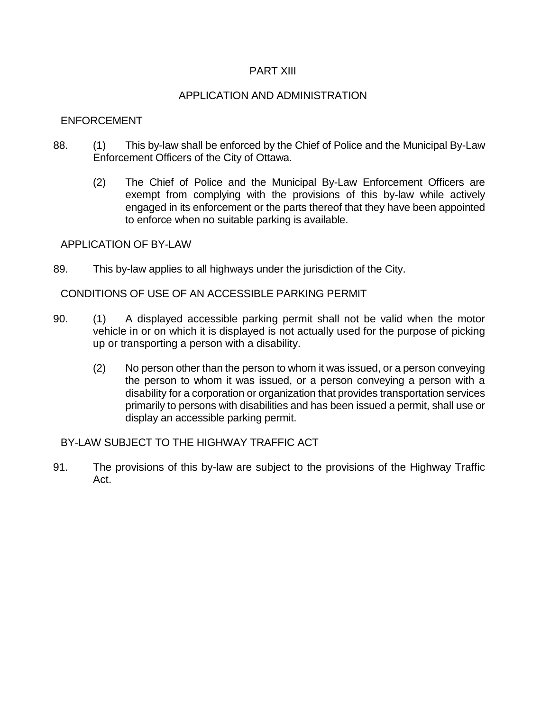#### PART XIII

#### APPLICATION AND ADMINISTRATION

#### ENFORCEMENT

- 88. (1) This by-law shall be enforced by the Chief of Police and the Municipal By-Law Enforcement Officers of the City of Ottawa.
	- (2) The Chief of Police and the Municipal By-Law Enforcement Officers are exempt from complying with the provisions of this by-law while actively engaged in its enforcement or the parts thereof that they have been appointed to enforce when no suitable parking is available.

#### APPLICATION OF BY-LAW

89. This by-law applies to all highways under the jurisdiction of the City.

CONDITIONS OF USE OF AN ACCESSIBLE PARKING PERMIT

- 90. (1) A displayed accessible parking permit shall not be valid when the motor vehicle in or on which it is displayed is not actually used for the purpose of picking up or transporting a person with a disability.
	- (2) No person other than the person to whom it was issued, or a person conveying the person to whom it was issued, or a person conveying a person with a disability for a corporation or organization that provides transportation services primarily to persons with disabilities and has been issued a permit, shall use or display an accessible parking permit.

### BY-LAW SUBJECT TO THE HIGHWAY TRAFFIC ACT

91. The provisions of this by-law are subject to the provisions of the Highway Traffic Act.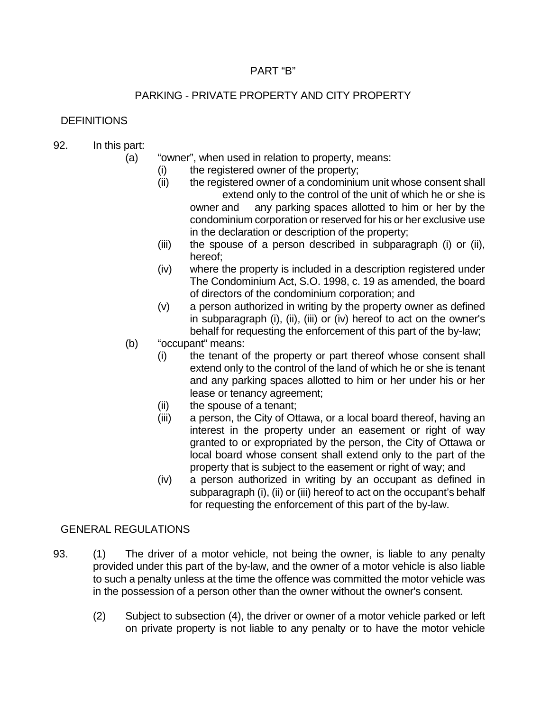### PART "B"

# PARKING - PRIVATE PROPERTY AND CITY PROPERTY

# **DEFINITIONS**

# 92. In this part:

(a) "owner", when used in relation to property, means:

- (i) the registered owner of the property;
- (ii) the registered owner of a condominium unit whose consent shall extend only to the control of the unit of which he or she is owner and any parking spaces allotted to him or her by the condominium corporation or reserved for his or her exclusive use in the declaration or description of the property;
- (iii) the spouse of a person described in subparagraph (i) or (ii), hereof;
- (iv) where the property is included in a description registered under The Condominium Act, S.O. 1998, c. 19 as amended, the board of directors of the condominium corporation; and
- (v) a person authorized in writing by the property owner as defined in subparagraph (i), (ii), (iii) or (iv) hereof to act on the owner's behalf for requesting the enforcement of this part of the by-law;
- (b) "occupant" means:
	- (i) the tenant of the property or part thereof whose consent shall extend only to the control of the land of which he or she is tenant and any parking spaces allotted to him or her under his or her lease or tenancy agreement;
	- (ii) the spouse of a tenant;
	- (iii) a person, the City of Ottawa, or a local board thereof, having an interest in the property under an easement or right of way granted to or expropriated by the person, the City of Ottawa or local board whose consent shall extend only to the part of the property that is subject to the easement or right of way; and
	- (iv) a person authorized in writing by an occupant as defined in subparagraph (i), (ii) or (iii) hereof to act on the occupant's behalf for requesting the enforcement of this part of the by-law.

# GENERAL REGULATIONS

- 93. (1) The driver of a motor vehicle, not being the owner, is liable to any penalty provided under this part of the by-law, and the owner of a motor vehicle is also liable to such a penalty unless at the time the offence was committed the motor vehicle was in the possession of a person other than the owner without the owner's consent.
	- (2) Subject to subsection (4), the driver or owner of a motor vehicle parked or left on private property is not liable to any penalty or to have the motor vehicle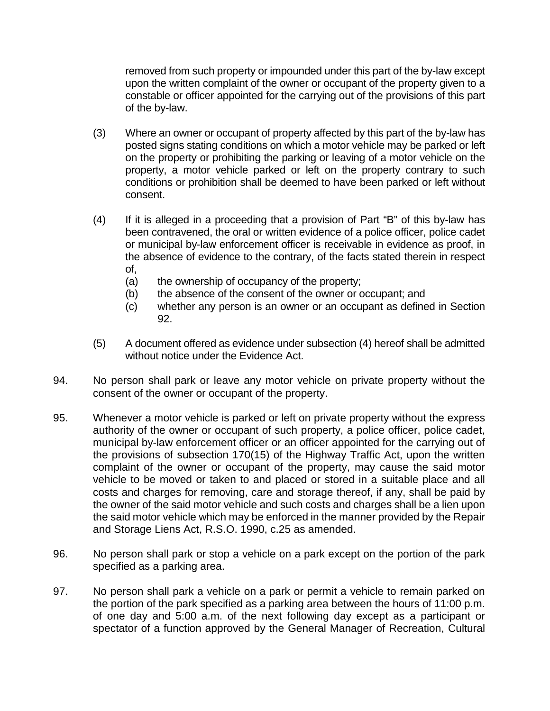removed from such property or impounded under this part of the by-law except upon the written complaint of the owner or occupant of the property given to a constable or officer appointed for the carrying out of the provisions of this part of the by-law.

- (3) Where an owner or occupant of property affected by this part of the by-law has posted signs stating conditions on which a motor vehicle may be parked or left on the property or prohibiting the parking or leaving of a motor vehicle on the property, a motor vehicle parked or left on the property contrary to such conditions or prohibition shall be deemed to have been parked or left without consent.
- (4) If it is alleged in a proceeding that a provision of Part "B" of this by-law has been contravened, the oral or written evidence of a police officer, police cadet or municipal by-law enforcement officer is receivable in evidence as proof, in the absence of evidence to the contrary, of the facts stated therein in respect of,
	- (a) the ownership of occupancy of the property;
	- (b) the absence of the consent of the owner or occupant; and
	- (c) whether any person is an owner or an occupant as defined in Section 92.
- (5) A document offered as evidence under subsection (4) hereof shall be admitted without notice under the Evidence Act.
- 94. No person shall park or leave any motor vehicle on private property without the consent of the owner or occupant of the property.
- 95. Whenever a motor vehicle is parked or left on private property without the express authority of the owner or occupant of such property, a police officer, police cadet, municipal by-law enforcement officer or an officer appointed for the carrying out of the provisions of subsection 170(15) of the Highway Traffic Act, upon the written complaint of the owner or occupant of the property, may cause the said motor vehicle to be moved or taken to and placed or stored in a suitable place and all costs and charges for removing, care and storage thereof, if any, shall be paid by the owner of the said motor vehicle and such costs and charges shall be a lien upon the said motor vehicle which may be enforced in the manner provided by the Repair and Storage Liens Act, R.S.O. 1990, c.25 as amended.
- 96. No person shall park or stop a vehicle on a park except on the portion of the park specified as a parking area.
- 97. No person shall park a vehicle on a park or permit a vehicle to remain parked on the portion of the park specified as a parking area between the hours of 11:00 p.m. of one day and 5:00 a.m. of the next following day except as a participant or spectator of a function approved by the General Manager of Recreation, Cultural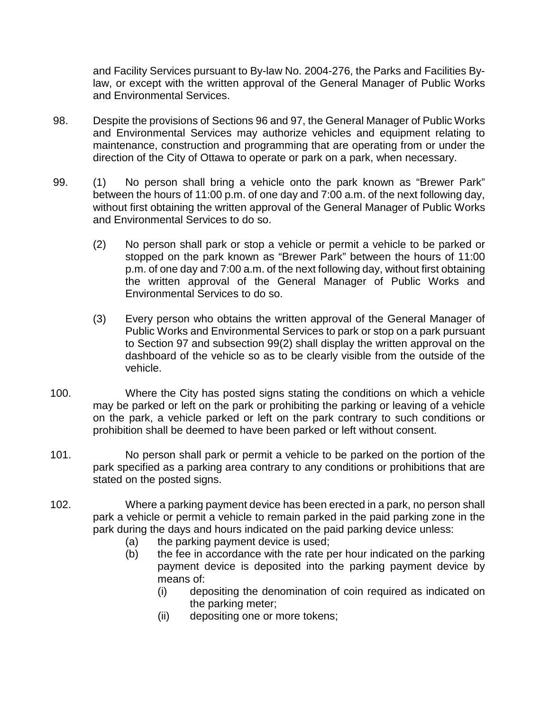and Facility Services pursuant to By-law No. 2004-276, the Parks and Facilities Bylaw, or except with the written approval of the General Manager of Public Works and Environmental Services.

- 98. Despite the provisions of Sections 96 and 97, the General Manager of Public Works and Environmental Services may authorize vehicles and equipment relating to maintenance, construction and programming that are operating from or under the direction of the City of Ottawa to operate or park on a park, when necessary.
- 99. (1) No person shall bring a vehicle onto the park known as "Brewer Park" between the hours of 11:00 p.m. of one day and 7:00 a.m. of the next following day, without first obtaining the written approval of the General Manager of Public Works and Environmental Services to do so.
	- (2) No person shall park or stop a vehicle or permit a vehicle to be parked or stopped on the park known as "Brewer Park" between the hours of 11:00 p.m. of one day and 7:00 a.m. of the next following day, without first obtaining the written approval of the General Manager of Public Works and Environmental Services to do so.
	- (3) Every person who obtains the written approval of the General Manager of Public Works and Environmental Services to park or stop on a park pursuant to Section 97 and subsection 99(2) shall display the written approval on the dashboard of the vehicle so as to be clearly visible from the outside of the vehicle.
- 100. Where the City has posted signs stating the conditions on which a vehicle may be parked or left on the park or prohibiting the parking or leaving of a vehicle on the park, a vehicle parked or left on the park contrary to such conditions or prohibition shall be deemed to have been parked or left without consent.
- 101. No person shall park or permit a vehicle to be parked on the portion of the park specified as a parking area contrary to any conditions or prohibitions that are stated on the posted signs.
- 102. Where a parking payment device has been erected in a park, no person shall park a vehicle or permit a vehicle to remain parked in the paid parking zone in the park during the days and hours indicated on the paid parking device unless:
	- (a) the parking payment device is used;
	- (b) the fee in accordance with the rate per hour indicated on the parking payment device is deposited into the parking payment device by means of:
		- (i) depositing the denomination of coin required as indicated on the parking meter;
		- (ii) depositing one or more tokens;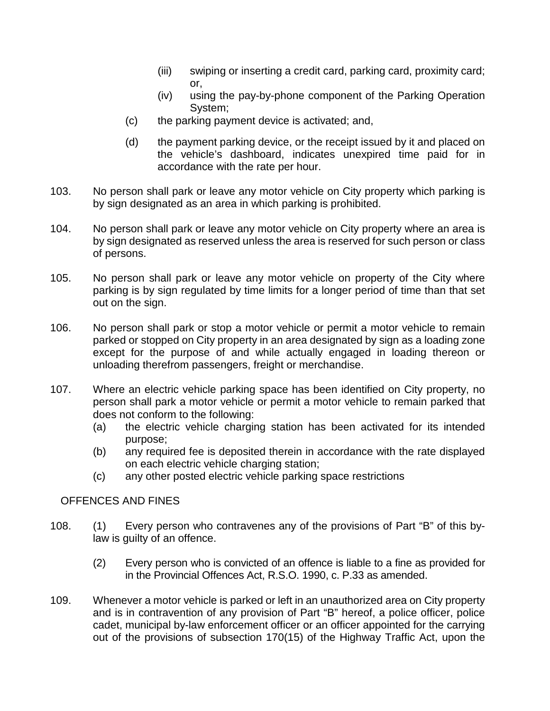- (iii) swiping or inserting a credit card, parking card, proximity card; or,
- (iv) using the pay-by-phone component of the Parking Operation System;
- (c) the parking payment device is activated; and,
- (d) the payment parking device, or the receipt issued by it and placed on the vehicle's dashboard, indicates unexpired time paid for in accordance with the rate per hour.
- 103. No person shall park or leave any motor vehicle on City property which parking is by sign designated as an area in which parking is prohibited.
- 104. No person shall park or leave any motor vehicle on City property where an area is by sign designated as reserved unless the area is reserved for such person or class of persons.
- 105. No person shall park or leave any motor vehicle on property of the City where parking is by sign regulated by time limits for a longer period of time than that set out on the sign.
- 106. No person shall park or stop a motor vehicle or permit a motor vehicle to remain parked or stopped on City property in an area designated by sign as a loading zone except for the purpose of and while actually engaged in loading thereon or unloading therefrom passengers, freight or merchandise.
- 107. Where an electric vehicle parking space has been identified on City property, no person shall park a motor vehicle or permit a motor vehicle to remain parked that does not conform to the following:
	- (a) the electric vehicle charging station has been activated for its intended purpose;
	- (b) any required fee is deposited therein in accordance with the rate displayed on each electric vehicle charging station;
	- (c) any other posted electric vehicle parking space restrictions

# OFFENCES AND FINES

- 108. (1) Every person who contravenes any of the provisions of Part "B" of this bylaw is guilty of an offence.
	- (2) Every person who is convicted of an offence is liable to a fine as provided for in the Provincial Offences Act, R.S.O. 1990, c. P.33 as amended.
- 109. Whenever a motor vehicle is parked or left in an unauthorized area on City property and is in contravention of any provision of Part "B" hereof, a police officer, police cadet, municipal by-law enforcement officer or an officer appointed for the carrying out of the provisions of subsection 170(15) of the Highway Traffic Act, upon the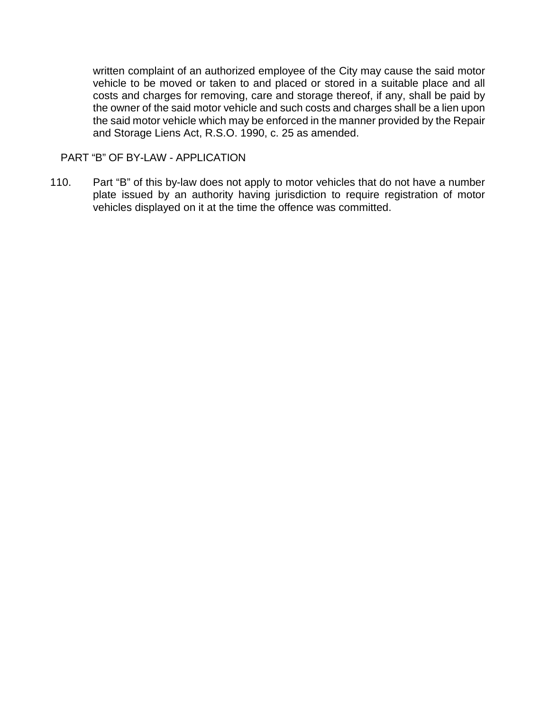written complaint of an authorized employee of the City may cause the said motor vehicle to be moved or taken to and placed or stored in a suitable place and all costs and charges for removing, care and storage thereof, if any, shall be paid by the owner of the said motor vehicle and such costs and charges shall be a lien upon the said motor vehicle which may be enforced in the manner provided by the Repair and Storage Liens Act, R.S.O. 1990, c. 25 as amended.

PART "B" OF BY-LAW - APPLICATION

110. Part "B" of this by-law does not apply to motor vehicles that do not have a number plate issued by an authority having jurisdiction to require registration of motor vehicles displayed on it at the time the offence was committed.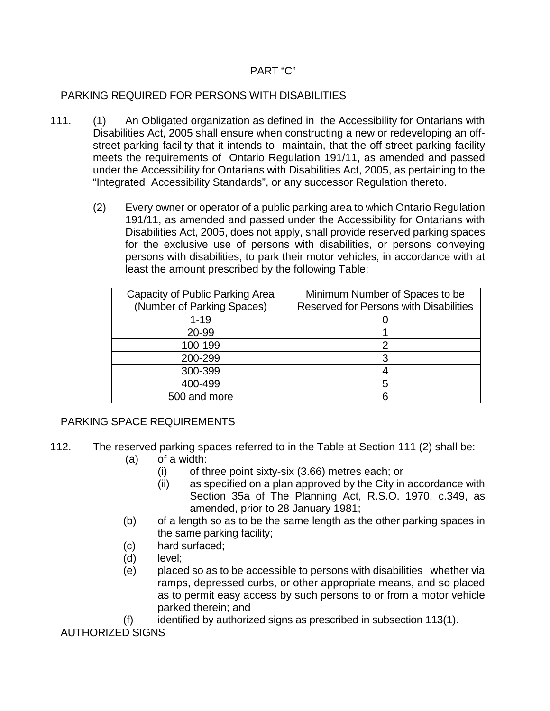## PART "C"

# PARKING REQUIRED FOR PERSONS WITH DISABILITIES

- 111. (1) An Obligated organization as defined in the Accessibility for Ontarians with Disabilities Act, 2005 shall ensure when constructing a new or redeveloping an offstreet parking facility that it intends to maintain, that the off-street parking facility meets the requirements of Ontario Regulation 191/11, as amended and passed under the Accessibility for Ontarians with Disabilities Act, 2005, as pertaining to the "Integrated Accessibility Standards", or any successor Regulation thereto.
	- (2) Every owner or operator of a public parking area to which Ontario Regulation 191/11, as amended and passed under the Accessibility for Ontarians with Disabilities Act, 2005, does not apply, shall provide reserved parking spaces for the exclusive use of persons with disabilities, or persons conveying persons with disabilities, to park their motor vehicles, in accordance with at least the amount prescribed by the following Table:

| Capacity of Public Parking Area<br>(Number of Parking Spaces) | Minimum Number of Spaces to be<br><b>Reserved for Persons with Disabilities</b> |
|---------------------------------------------------------------|---------------------------------------------------------------------------------|
| $1 - 19$                                                      |                                                                                 |
| 20-99                                                         |                                                                                 |
| 100-199                                                       |                                                                                 |
| 200-299                                                       |                                                                                 |
| 300-399                                                       |                                                                                 |
| 400-499                                                       | h                                                                               |
| 500 and more                                                  |                                                                                 |

# PARKING SPACE REQUIREMENTS

- 112. The reserved parking spaces referred to in the Table at Section 111 (2) shall be:
	- (a) of a width:
		- (i) of three point sixty-six (3.66) metres each; or
		- (ii) as specified on a plan approved by the City in accordance with Section 35a of The Planning Act, R.S.O. 1970, c.349, as amended, prior to 28 January 1981;
	- (b) of a length so as to be the same length as the other parking spaces in the same parking facility;
	- (c) hard surfaced;
	- (d) level;
	- (e) placed so as to be accessible to persons with disabilities whether via ramps, depressed curbs, or other appropriate means, and so placed as to permit easy access by such persons to or from a motor vehicle parked therein; and
	- (f) identified by authorized signs as prescribed in subsection 113(1).

AUTHORIZED SIGNS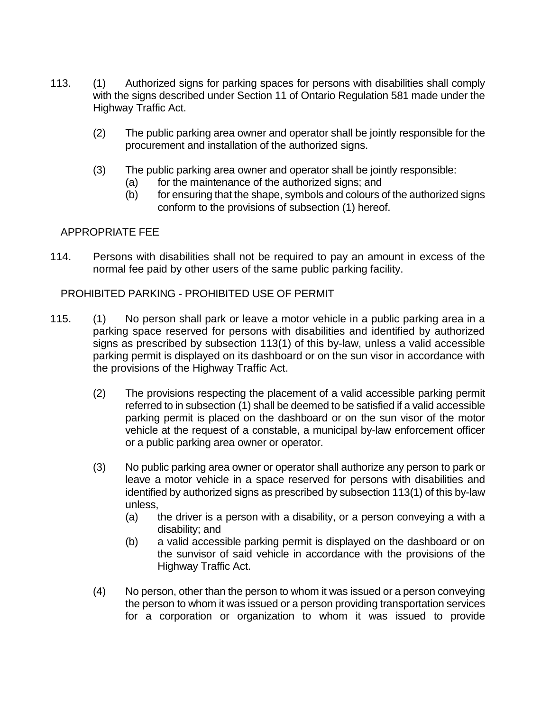- 113. (1) Authorized signs for parking spaces for persons with disabilities shall comply with the signs described under Section 11 of Ontario Regulation 581 made under the Highway Traffic Act.
	- (2) The public parking area owner and operator shall be jointly responsible for the procurement and installation of the authorized signs.
	- (3) The public parking area owner and operator shall be jointly responsible:
		- (a) for the maintenance of the authorized signs; and
		- (b) for ensuring that the shape, symbols and colours of the authorized signs conform to the provisions of subsection (1) hereof.

### APPROPRIATE FEE

114. Persons with disabilities shall not be required to pay an amount in excess of the normal fee paid by other users of the same public parking facility.

### PROHIBITED PARKING - PROHIBITED USE OF PERMIT

- 115. (1) No person shall park or leave a motor vehicle in a public parking area in a parking space reserved for persons with disabilities and identified by authorized signs as prescribed by subsection 113(1) of this by-law, unless a valid accessible parking permit is displayed on its dashboard or on the sun visor in accordance with the provisions of the Highway Traffic Act.
	- (2) The provisions respecting the placement of a valid accessible parking permit referred to in subsection (1) shall be deemed to be satisfied if a valid accessible parking permit is placed on the dashboard or on the sun visor of the motor vehicle at the request of a constable, a municipal by-law enforcement officer or a public parking area owner or operator.
	- (3) No public parking area owner or operator shall authorize any person to park or leave a motor vehicle in a space reserved for persons with disabilities and identified by authorized signs as prescribed by subsection 113(1) of this by-law unless,
		- (a) the driver is a person with a disability, or a person conveying a with a disability; and
		- (b) a valid accessible parking permit is displayed on the dashboard or on the sunvisor of said vehicle in accordance with the provisions of the Highway Traffic Act.
	- (4) No person, other than the person to whom it was issued or a person conveying the person to whom it was issued or a person providing transportation services for a corporation or organization to whom it was issued to provide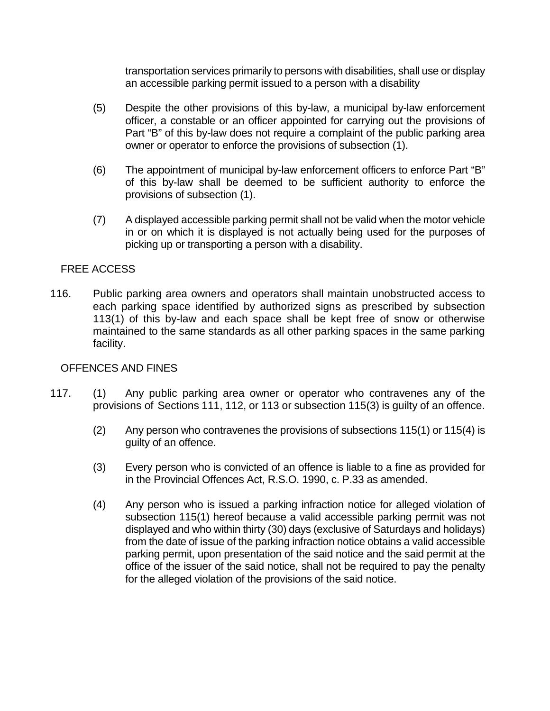transportation services primarily to persons with disabilities, shall use or display an accessible parking permit issued to a person with a disability

- (5) Despite the other provisions of this by-law, a municipal by-law enforcement officer, a constable or an officer appointed for carrying out the provisions of Part "B" of this by-law does not require a complaint of the public parking area owner or operator to enforce the provisions of subsection (1).
- (6) The appointment of municipal by-law enforcement officers to enforce Part "B" of this by-law shall be deemed to be sufficient authority to enforce the provisions of subsection (1).
- (7) A displayed accessible parking permit shall not be valid when the motor vehicle in or on which it is displayed is not actually being used for the purposes of picking up or transporting a person with a disability.

# FREE ACCESS

116. Public parking area owners and operators shall maintain unobstructed access to each parking space identified by authorized signs as prescribed by subsection 113(1) of this by-law and each space shall be kept free of snow or otherwise maintained to the same standards as all other parking spaces in the same parking facility.

# OFFENCES AND FINES

- 117. (1) Any public parking area owner or operator who contravenes any of the provisions of Sections 111, 112, or 113 or subsection 115(3) is guilty of an offence.
	- (2) Any person who contravenes the provisions of subsections 115(1) or 115(4) is guilty of an offence.
	- (3) Every person who is convicted of an offence is liable to a fine as provided for in the Provincial Offences Act, R.S.O. 1990, c. P.33 as amended.
	- (4) Any person who is issued a parking infraction notice for alleged violation of subsection 115(1) hereof because a valid accessible parking permit was not displayed and who within thirty (30) days (exclusive of Saturdays and holidays) from the date of issue of the parking infraction notice obtains a valid accessible parking permit, upon presentation of the said notice and the said permit at the office of the issuer of the said notice, shall not be required to pay the penalty for the alleged violation of the provisions of the said notice.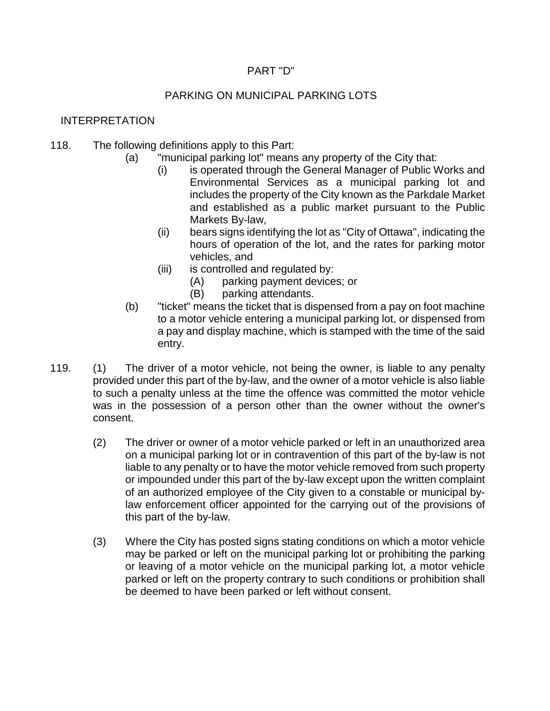## PART "D"

# PARKING ON MUNICIPAL PARKING LOTS

## INTERPRETATION

- 118. The following definitions apply to this Part:
	- (a) "municipal parking lot" means any property of the City that:
		- (i) is operated through the General Manager of Public Works and Environmental Services as a municipal parking lot and includes the property of the City known as the Parkdale Market and established as a public market pursuant to the Public Markets By-law,
		- (ii) bears signs identifying the lot as "City of Ottawa", indicating the hours of operation of the lot, and the rates for parking motor vehicles, and
		- (iii) is controlled and regulated by:
			- (A) parking payment devices; or
			- (B) parking attendants.
	- (b) "ticket" means the ticket that is dispensed from a pay on foot machine to a motor vehicle entering a municipal parking lot, or dispensed from a pay and display machine, which is stamped with the time of the said entry.
- 119. (1) The driver of a motor vehicle, not being the owner, is liable to any penalty provided under this part of the by-law, and the owner of a motor vehicle is also liable to such a penalty unless at the time the offence was committed the motor vehicle was in the possession of a person other than the owner without the owner's consent.
	- (2) The driver or owner of a motor vehicle parked or left in an unauthorized area on a municipal parking lot or in contravention of this part of the by-law is not liable to any penalty or to have the motor vehicle removed from such property or impounded under this part of the by-law except upon the written complaint of an authorized employee of the City given to a constable or municipal bylaw enforcement officer appointed for the carrying out of the provisions of this part of the by-law.
	- (3) Where the City has posted signs stating conditions on which a motor vehicle may be parked or left on the municipal parking lot or prohibiting the parking or leaving of a motor vehicle on the municipal parking lot, a motor vehicle parked or left on the property contrary to such conditions or prohibition shall be deemed to have been parked or left without consent.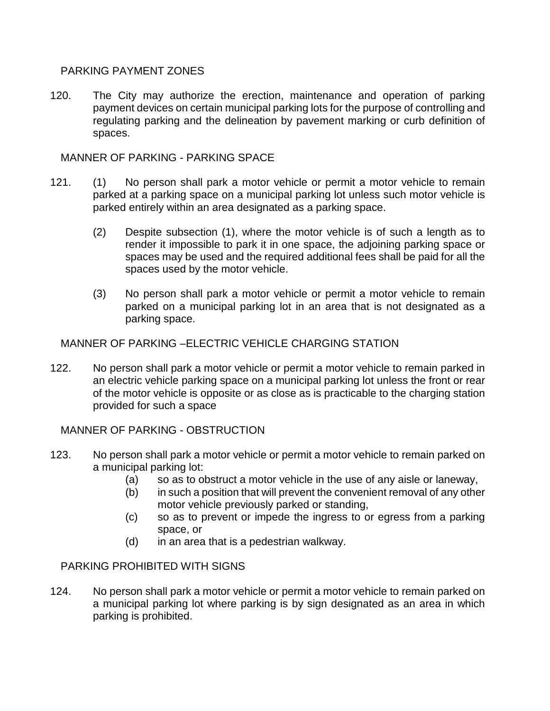## PARKING PAYMENT ZONES

120. The City may authorize the erection, maintenance and operation of parking payment devices on certain municipal parking lots for the purpose of controlling and regulating parking and the delineation by pavement marking or curb definition of spaces.

MANNER OF PARKING - PARKING SPACE

- 121. (1) No person shall park a motor vehicle or permit a motor vehicle to remain parked at a parking space on a municipal parking lot unless such motor vehicle is parked entirely within an area designated as a parking space.
	- (2) Despite subsection (1), where the motor vehicle is of such a length as to render it impossible to park it in one space, the adjoining parking space or spaces may be used and the required additional fees shall be paid for all the spaces used by the motor vehicle.
	- (3) No person shall park a motor vehicle or permit a motor vehicle to remain parked on a municipal parking lot in an area that is not designated as a parking space.

MANNER OF PARKING –ELECTRIC VEHICLE CHARGING STATION

122. No person shall park a motor vehicle or permit a motor vehicle to remain parked in an electric vehicle parking space on a municipal parking lot unless the front or rear of the motor vehicle is opposite or as close as is practicable to the charging station provided for such a space

MANNER OF PARKING - OBSTRUCTION

- 123. No person shall park a motor vehicle or permit a motor vehicle to remain parked on a municipal parking lot:
	- (a) so as to obstruct a motor vehicle in the use of any aisle or laneway,
	- (b) in such a position that will prevent the convenient removal of any other motor vehicle previously parked or standing,
	- (c) so as to prevent or impede the ingress to or egress from a parking space, or
	- (d) in an area that is a pedestrian walkway.

# PARKING PROHIBITED WITH SIGNS

124. No person shall park a motor vehicle or permit a motor vehicle to remain parked on a municipal parking lot where parking is by sign designated as an area in which parking is prohibited.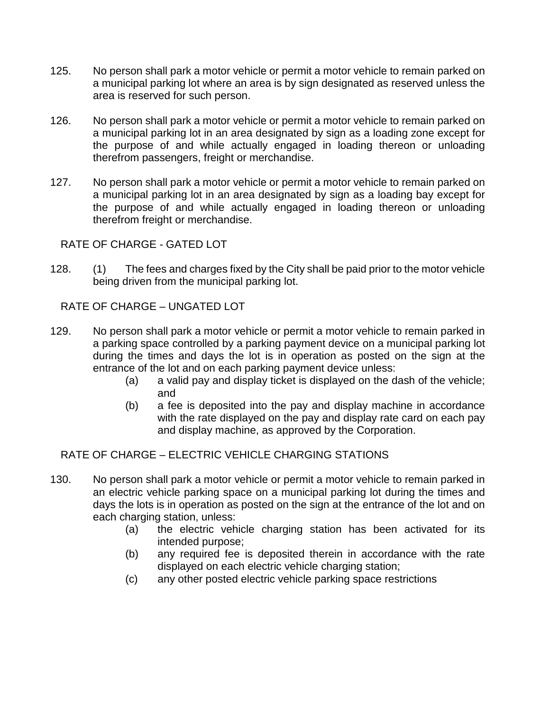- 125. No person shall park a motor vehicle or permit a motor vehicle to remain parked on a municipal parking lot where an area is by sign designated as reserved unless the area is reserved for such person.
- 126. No person shall park a motor vehicle or permit a motor vehicle to remain parked on a municipal parking lot in an area designated by sign as a loading zone except for the purpose of and while actually engaged in loading thereon or unloading therefrom passengers, freight or merchandise.
- 127. No person shall park a motor vehicle or permit a motor vehicle to remain parked on a municipal parking lot in an area designated by sign as a loading bay except for the purpose of and while actually engaged in loading thereon or unloading therefrom freight or merchandise.

RATE OF CHARGE - GATED LOT

128. (1) The fees and charges fixed by the City shall be paid prior to the motor vehicle being driven from the municipal parking lot.

RATE OF CHARGE – UNGATED LOT

- 129. No person shall park a motor vehicle or permit a motor vehicle to remain parked in a parking space controlled by a parking payment device on a municipal parking lot during the times and days the lot is in operation as posted on the sign at the entrance of the lot and on each parking payment device unless:
	- (a) a valid pay and display ticket is displayed on the dash of the vehicle; and
	- (b) a fee is deposited into the pay and display machine in accordance with the rate displayed on the pay and display rate card on each pay and display machine, as approved by the Corporation.

RATE OF CHARGE – ELECTRIC VEHICLE CHARGING STATIONS

- 130. No person shall park a motor vehicle or permit a motor vehicle to remain parked in an electric vehicle parking space on a municipal parking lot during the times and days the lots is in operation as posted on the sign at the entrance of the lot and on each charging station, unless:
	- (a) the electric vehicle charging station has been activated for its intended purpose;
	- (b) any required fee is deposited therein in accordance with the rate displayed on each electric vehicle charging station;
	- (c) any other posted electric vehicle parking space restrictions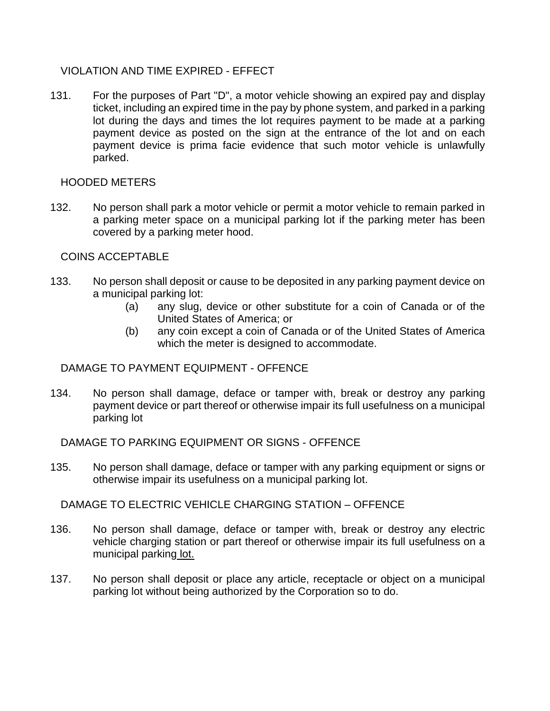### VIOLATION AND TIME EXPIRED - EFFECT

131. For the purposes of Part "D", a motor vehicle showing an expired pay and display ticket, including an expired time in the pay by phone system, and parked in a parking lot during the days and times the lot requires payment to be made at a parking payment device as posted on the sign at the entrance of the lot and on each payment device is prima facie evidence that such motor vehicle is unlawfully parked.

## HOODED METERS

132. No person shall park a motor vehicle or permit a motor vehicle to remain parked in a parking meter space on a municipal parking lot if the parking meter has been covered by a parking meter hood.

## COINS ACCEPTABLE

- 133. No person shall deposit or cause to be deposited in any parking payment device on a municipal parking lot:
	- (a) any slug, device or other substitute for a coin of Canada or of the United States of America; or
	- (b) any coin except a coin of Canada or of the United States of America which the meter is designed to accommodate.

### DAMAGE TO PAYMENT EQUIPMENT - OFFENCE

134. No person shall damage, deface or tamper with, break or destroy any parking payment device or part thereof or otherwise impair its full usefulness on a municipal parking lot

DAMAGE TO PARKING EQUIPMENT OR SIGNS - OFFENCE

135. No person shall damage, deface or tamper with any parking equipment or signs or otherwise impair its usefulness on a municipal parking lot.

DAMAGE TO ELECTRIC VEHICLE CHARGING STATION – OFFENCE

- 136. No person shall damage, deface or tamper with, break or destroy any electric vehicle charging station or part thereof or otherwise impair its full usefulness on a municipal parking lot.
- 137. No person shall deposit or place any article, receptacle or object on a municipal parking lot without being authorized by the Corporation so to do.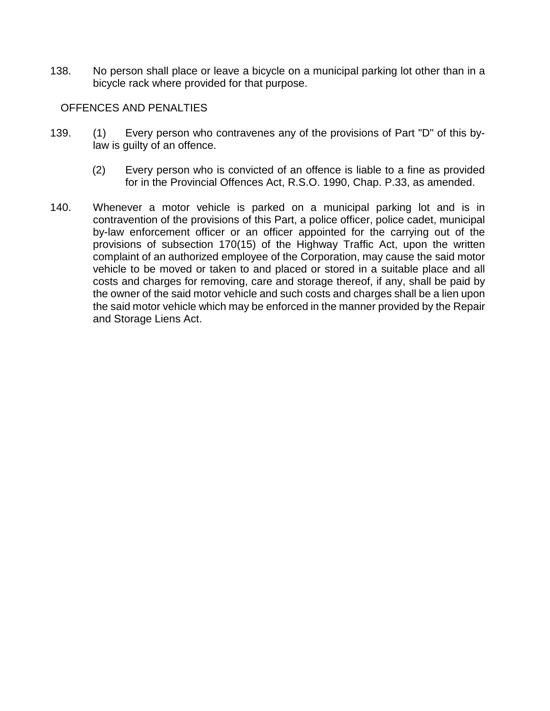138. No person shall place or leave a bicycle on a municipal parking lot other than in a bicycle rack where provided for that purpose.

#### OFFENCES AND PENALTIES

- 139. (1) Every person who contravenes any of the provisions of Part "D" of this bylaw is guilty of an offence.
	- (2) Every person who is convicted of an offence is liable to a fine as provided for in the Provincial Offences Act, R.S.O. 1990, Chap. P.33, as amended.
- 140. Whenever a motor vehicle is parked on a municipal parking lot and is in contravention of the provisions of this Part, a police officer, police cadet, municipal by-law enforcement officer or an officer appointed for the carrying out of the provisions of subsection 170(15) of the Highway Traffic Act, upon the written complaint of an authorized employee of the Corporation, may cause the said motor vehicle to be moved or taken to and placed or stored in a suitable place and all costs and charges for removing, care and storage thereof, if any, shall be paid by the owner of the said motor vehicle and such costs and charges shall be a lien upon the said motor vehicle which may be enforced in the manner provided by the Repair and Storage Liens Act.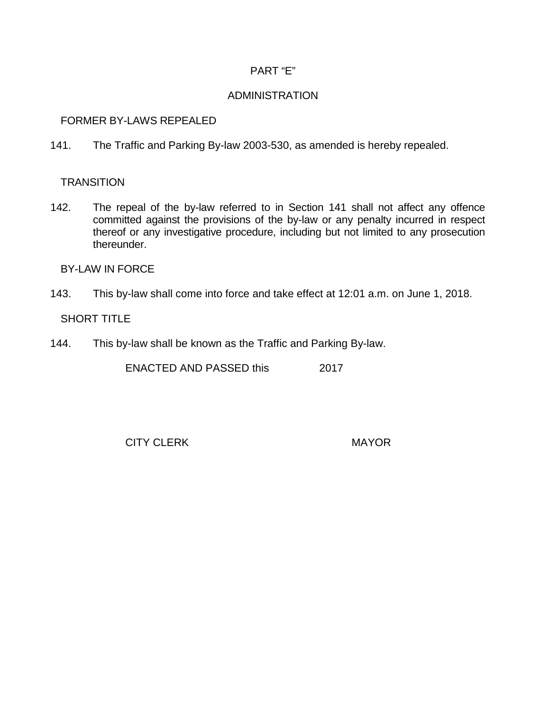## PART "E"

### ADMINISTRATION

### FORMER BY-LAWS REPEALED

141. The Traffic and Parking By-law 2003-530, as amended is hereby repealed.

## **TRANSITION**

142. The repeal of the by-law referred to in Section 141 shall not affect any offence committed against the provisions of the by-law or any penalty incurred in respect thereof or any investigative procedure, including but not limited to any prosecution thereunder.

## BY-LAW IN FORCE

143. This by-law shall come into force and take effect at 12:01 a.m. on June 1, 2018.

# SHORT TITLE

144. This by-law shall be known as the Traffic and Parking By-law.

ENACTED AND PASSED this 2017

CITY CLERK MAYOR